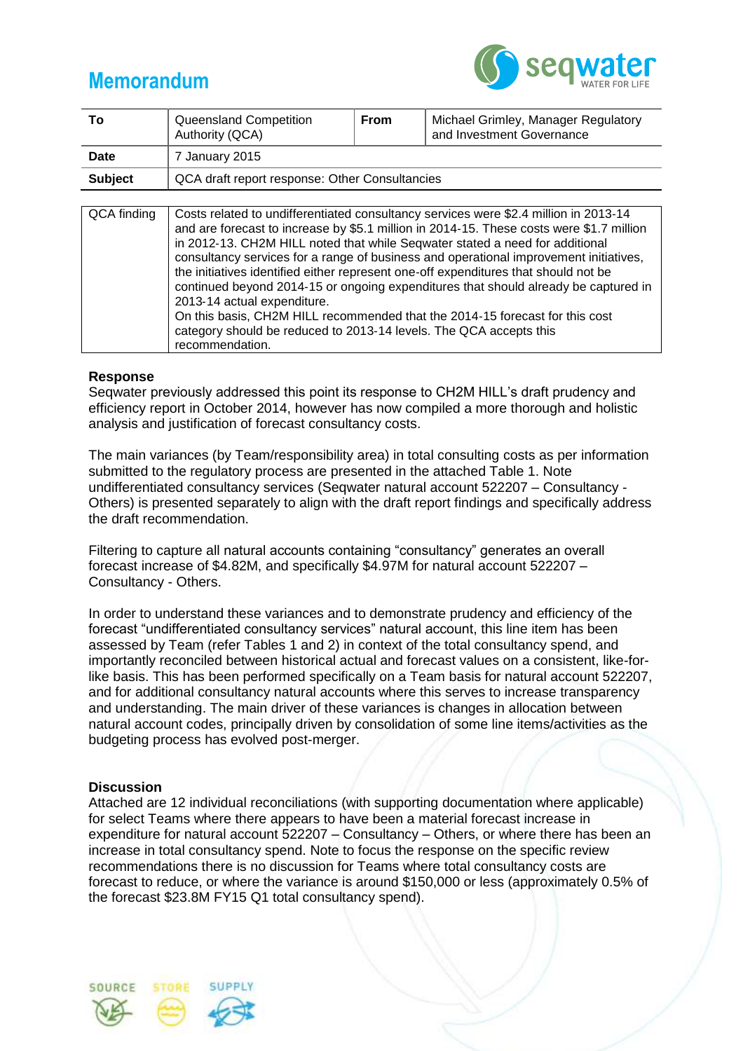

| То             | Queensland Competition<br>Authority (QCA)      | From | Michael Grimley, Manager Regulatory<br>and Investment Governance                     |  |  |  |  |  |  |  |
|----------------|------------------------------------------------|------|--------------------------------------------------------------------------------------|--|--|--|--|--|--|--|
| <b>Date</b>    | 7 January 2015                                 |      |                                                                                      |  |  |  |  |  |  |  |
| <b>Subject</b> | QCA draft report response: Other Consultancies |      |                                                                                      |  |  |  |  |  |  |  |
|                |                                                |      |                                                                                      |  |  |  |  |  |  |  |
| QCA finding    |                                                |      | Costs related to undifferentiated consultancy services were \$2.4 million in 2013-14 |  |  |  |  |  |  |  |

| wun muniy | <del>C</del> OSIS TURNED IN ANDER THIS PROGRESS TO BE THE LOTS TO THE LOTS OF THE LOTS OF THE LOTS OF THE LOTS OF THE LOTS O |
|-----------|------------------------------------------------------------------------------------------------------------------------------|
|           | and are forecast to increase by \$5.1 million in 2014-15. These costs were \$1.7 million                                     |
|           | in 2012-13. CH2M HILL noted that while Seqwater stated a need for additional                                                 |
|           | consultancy services for a range of business and operational improvement initiatives,                                        |
|           | the initiatives identified either represent one-off expenditures that should not be                                          |
|           | continued beyond 2014-15 or ongoing expenditures that should already be captured in                                          |
|           | 2013-14 actual expenditure.                                                                                                  |
|           | On this basis, CH2M HILL recommended that the 2014-15 forecast for this cost                                                 |
|           | category should be reduced to 2013-14 levels. The QCA accepts this                                                           |
|           | recommendation.                                                                                                              |
|           |                                                                                                                              |

#### **Response**

Seqwater previously addressed this point its response to CH2M HILL's draft prudency and efficiency report in October 2014, however has now compiled a more thorough and holistic analysis and justification of forecast consultancy costs.

The main variances (by Team/responsibility area) in total consulting costs as per information submitted to the regulatory process are presented in the attached Table 1. Note undifferentiated consultancy services (Seqwater natural account 522207 – Consultancy - Others) is presented separately to align with the draft report findings and specifically address the draft recommendation.

Filtering to capture all natural accounts containing "consultancy" generates an overall forecast increase of \$4.82M, and specifically \$4.97M for natural account 522207 – Consultancy - Others.

In order to understand these variances and to demonstrate prudency and efficiency of the forecast "undifferentiated consultancy services" natural account, this line item has been assessed by Team (refer Tables 1 and 2) in context of the total consultancy spend, and importantly reconciled between historical actual and forecast values on a consistent, like-forlike basis. This has been performed specifically on a Team basis for natural account 522207, and for additional consultancy natural accounts where this serves to increase transparency and understanding. The main driver of these variances is changes in allocation between natural account codes, principally driven by consolidation of some line items/activities as the budgeting process has evolved post-merger.

### **Discussion**

Attached are 12 individual reconciliations (with supporting documentation where applicable) for select Teams where there appears to have been a material forecast increase in expenditure for natural account 522207 – Consultancy – Others, or where there has been an increase in total consultancy spend. Note to focus the response on the specific review recommendations there is no discussion for Teams where total consultancy costs are forecast to reduce, or where the variance is around \$150,000 or less (approximately 0.5% of the forecast \$23.8M FY15 Q1 total consultancy spend).

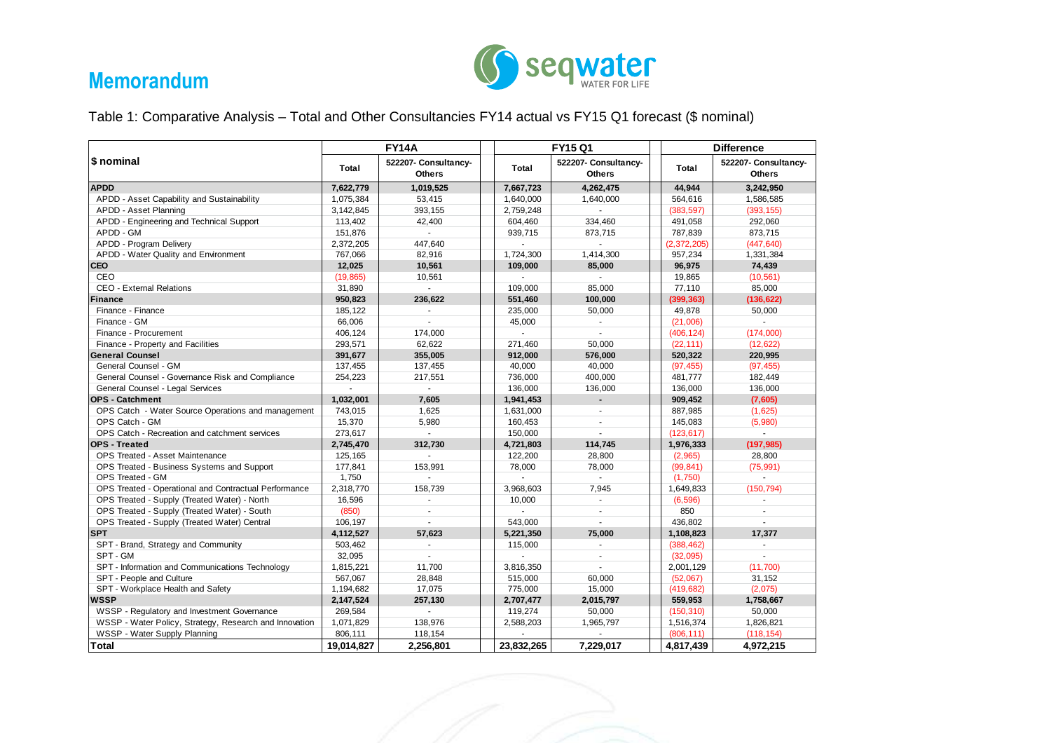

Table 1: Comparative Analysis – Total and Other Consultancies FY14 actual vs FY15 Q1 forecast (\$ nominal)

|                                                        |                                                | <b>FY14A</b>   |                | FY15 Q1                               | <b>Difference</b>  |                                       |  |  |
|--------------------------------------------------------|------------------------------------------------|----------------|----------------|---------------------------------------|--------------------|---------------------------------------|--|--|
| \$ nominal                                             | 522207- Consultancy-<br>Total<br><b>Others</b> |                | <b>Total</b>   | 522207- Consultancy-<br><b>Others</b> | Total              | 522207- Consultancy-<br><b>Others</b> |  |  |
| <b>APDD</b>                                            | 7,622,779                                      | 1,019,525      | 7,667,723      | 4,262,475                             | 44,944             | 3,242,950                             |  |  |
| APDD - Asset Capability and Sustainability             | 1,075,384                                      | 53,415         | 1,640,000      | 1.640.000                             | 564,616            | 1,586,585                             |  |  |
| APDD - Asset Planning                                  | 3,142,845                                      | 393,155        | 2,759,248      |                                       |                    | (393, 155)                            |  |  |
| APDD - Engineering and Technical Support               | 113,402                                        | 42,400         | 604,460        | 334,460                               | 491,058            | 292,060                               |  |  |
| APDD - GM                                              | 151,876                                        | $\sim$         | 939.715        | 873,715                               | 787,839            | 873,715                               |  |  |
| APDD - Program Delivery                                | 2,372,205                                      | 447,640        | $\mathbf{r}$   | $\mathbf{r}$                          | (2,372,205)        | (447, 640)                            |  |  |
| APDD - Water Quality and Environment                   | 767,066                                        | 82,916         | 1,724,300      | 1,414,300                             | 957,234            | 1,331,384                             |  |  |
| <b>CEO</b>                                             | 12,025                                         | 10,561         | 109.000        | 85,000                                | 96,975             | 74,439                                |  |  |
| CEO                                                    | (19, 865)                                      | 10,561         | $\sim$         | $\sim$                                | 19,865             | (10, 561)                             |  |  |
| <b>CEO - External Relations</b>                        | 31,890                                         | $\sim$         | 109,000        | 85,000                                | 77,110             | 85,000                                |  |  |
| Finance                                                | 950,823                                        | 236.622        | 551,460        | 100,000                               | (399, 363)         | (136, 622)                            |  |  |
| Finance - Finance                                      | 185,122                                        | $\sim$         | 235,000        | 50,000                                | 49,878             | 50,000                                |  |  |
| Finance - GM                                           | 66,006                                         | ÷.             | 45,000         | ÷.                                    | (21,006)           | $\sim$                                |  |  |
| Finance - Procurement                                  | 406,124                                        | 174,000        |                |                                       | (406, 124)         | (174,000)                             |  |  |
| Finance - Property and Facilities                      | 293,571                                        | 62,622         | 271,460        | 50,000                                | (22, 111)          | (12, 622)                             |  |  |
| <b>General Counsel</b>                                 | 391,677                                        | 355,005        | 912,000        | 576,000                               | 520,322            | 220,995                               |  |  |
| General Counsel - GM                                   | 137,455                                        | 137,455        | 40,000         | 40,000                                | (97, 455)          | (97, 455)                             |  |  |
| General Counsel - Governance Risk and Compliance       | 254,223                                        | 217,551        | 736,000        | 400,000                               |                    | 182,449                               |  |  |
| General Counsel - Legal Services                       | $\mathcal{L}$                                  | $\sim$         | 136,000        | 136,000                               |                    | 136,000                               |  |  |
| <b>OPS - Catchment</b>                                 | 1,032,001                                      | 7.605          | 1,941,453      | $\blacksquare$                        | 136,000<br>909,452 | (7,605)                               |  |  |
| OPS Catch - Water Source Operations and management     | 743,015                                        | 1,625          | 1,631,000      | ÷                                     | 887,985            | (1,625)                               |  |  |
| OPS Catch - GM                                         | 15,370                                         | 5,980          | 160,453        | $\overline{\phantom{a}}$              | 145,083            | (5,980)                               |  |  |
| OPS Catch - Recreation and catchment services          | 273,617                                        | $\sim$         | 150,000        | L.                                    | (123, 617)         | $\omega$                              |  |  |
| <b>OPS - Treated</b>                                   | 2,745,470                                      | 312.730        | 4,721,803      | 114,745                               | 1,976,333          | (197, 985)                            |  |  |
| OPS Treated - Asset Maintenance                        | 125,165                                        | $\sim$         | 122,200        | 28,800                                | (2,965)            | 28,800                                |  |  |
| OPS Treated - Business Systems and Support             | 177,841                                        | 153.991        | 78,000         | 78,000                                | (99, 841)          | (75, 991)                             |  |  |
| OPS Treated - GM                                       | 1,750                                          | ÷.             |                | $\overline{a}$                        | (1,750)            | ÷.                                    |  |  |
| OPS Treated - Operational and Contractual Performance  | 2,318,770                                      | 158,739        | 3,968,603      | 7,945                                 | 1,649,833          | (150, 794)                            |  |  |
| OPS Treated - Supply (Treated Water) - North           | 16,596                                         |                | 10,000         |                                       | (6,596)            |                                       |  |  |
| OPS Treated - Supply (Treated Water) - South           | (850)                                          | ÷.             | $\overline{a}$ | ÷.                                    | 850                | ×,                                    |  |  |
| OPS Treated - Supply (Treated Water) Central           | 106,197                                        | $\overline{a}$ | 543,000        |                                       | 436,802            | $\mathcal{L}$                         |  |  |
| <b>SPT</b>                                             | 4,112,527                                      | 57.623         | 5,221,350      | 75,000                                | 1,108,823          | 17.377                                |  |  |
| SPT - Brand, Strategy and Community                    | 503,462                                        | $\sim$         | 115,000        |                                       | (388, 462)         | $\mathcal{L}$                         |  |  |
| SPT - GM                                               | 32,095                                         | ×.             | $\mathbf{r}$   |                                       | (32,095)           | $\sim$                                |  |  |
| SPT - Information and Communications Technology        | 1.815.221                                      | 11.700         | 3.816.350      | L.                                    | 2,001,129          | (11,700)                              |  |  |
| SPT - People and Culture                               | 567,067                                        | 28,848         | 515,000        | 60,000                                | (52,067)           | 31,152                                |  |  |
| SPT - Workplace Health and Safety                      | 1,194,682                                      | 17,075         | 775,000        | 15,000                                | (419, 682)         | (2,075)                               |  |  |
| <b>WSSP</b>                                            | 2,147,524                                      | 257,130        |                | 2,707,477<br>2,015,797                |                    | 1,758,667                             |  |  |
| WSSP - Regulatory and Investment Governance            | 269,584                                        | $\sim$         |                | 119,274<br>50,000                     |                    | 50,000                                |  |  |
| WSSP - Water Policy, Strategy, Research and Innovation | 1,071,829                                      | 138,976        | 2,588,203      | 1,965,797                             |                    | 1,826,821                             |  |  |
| WSSP - Water Supply Planning                           | 806,111                                        | 118,154        |                |                                       |                    | (118, 154)                            |  |  |
|                                                        |                                                |                |                |                                       | (806, 111)         |                                       |  |  |
| <b>Total</b>                                           | 19,014,827                                     | 2,256,801      | 23,832,265     | 7,229,017                             | 4,817,439          | 4,972,215                             |  |  |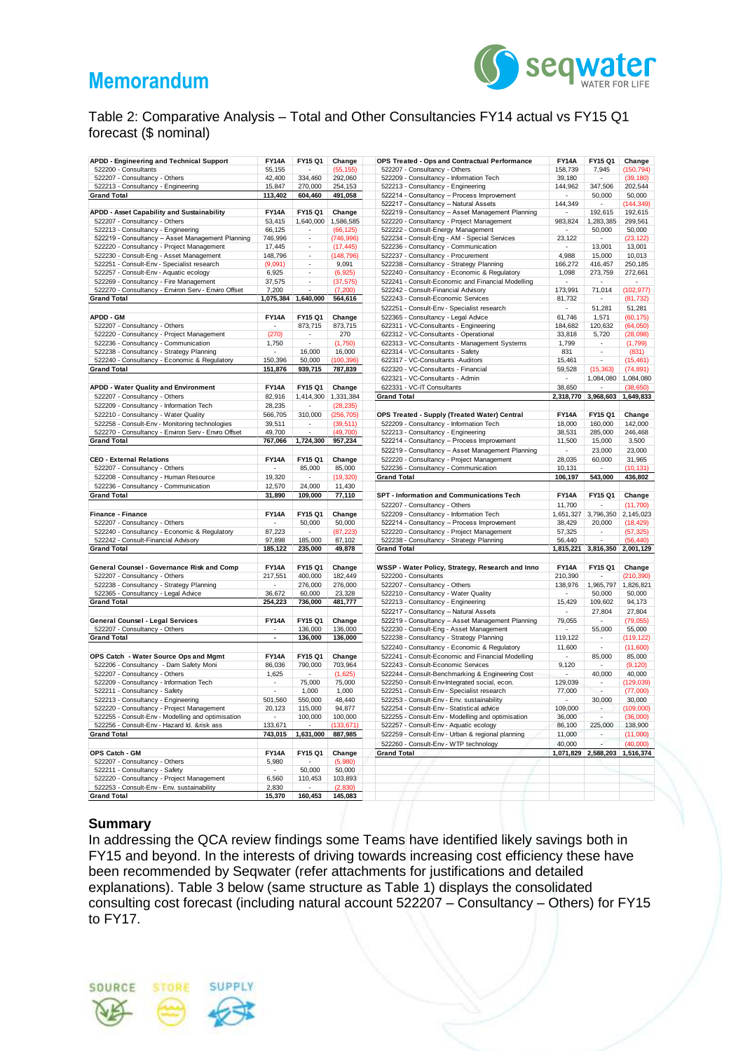

### Table 2: Comparative Analysis – Total and Other Consultancies FY14 actual vs FY15 Q1 forecast (\$ nominal)

| APDD - Engineering and Technical Support                                              | <b>FY14A</b>             | FY15 Q1             | Change              | OPS Treated - Ops and Contractual Performance                              | <b>FY14A</b>                | FY15 Q1                  | Change            |
|---------------------------------------------------------------------------------------|--------------------------|---------------------|---------------------|----------------------------------------------------------------------------|-----------------------------|--------------------------|-------------------|
| 522200 - Consultants                                                                  | 55,155                   |                     | (55, 155)           | 522207 - Consultancy - Others                                              | 158,739                     | 7,945                    | (150, 794)        |
| 522207 - Consultancy - Others                                                         | 42,400                   | 334,460             | 292,060             | 522209 - Consultancy - Information Tech                                    | 39,180                      |                          | (39, 180)         |
| 522213 - Consultancy - Engineering                                                    | 15,847                   | 270,000             | 254,153             | 522213 - Consultancy - Engineering                                         | 144,962                     | 347,506                  | 202,544           |
| <b>Grand Total</b>                                                                    | 113,402                  | 604,460             | 491,058             | 522214 - Consultancy - Process Improvement                                 |                             | 50,000                   | 50,000            |
|                                                                                       |                          |                     |                     | 522217 - Consultancy - Natural Assets                                      | 144,349                     |                          | (144, 349)        |
| APDD - Asset Capability and Sustainability                                            | <b>FY14A</b>             | FY15 Q1             | Change              | 522219 - Consultancy - Asset Management Planning                           |                             | 192,615                  | 192,615           |
| 522207 - Consultancy - Others                                                         | 53,415                   | 1,640,000           | 1,586,585           | 522220 - Consultancy - Project Management                                  | 983,824                     | 1,283,385                | 299,561           |
| 522213 - Consultancy - Engineering                                                    | 66,125                   |                     | (66, 125)           | 522222 - Consult-Energy Management                                         |                             | 50,000                   | 50,000            |
| 522219 - Consultancy - Asset Management Planning                                      | 746,996                  | ÷.                  | (746, 996)          | 522234 - Consult-Eng - AM - Special Services                               | 23,122                      |                          | (23, 122)         |
| 522220 - Consultancy - Project Management                                             | 17,445<br>148,796        | $\sim$              | (17, 445)           | 522236 - Consultancy - Communication<br>522237 - Consultancy - Procurement | 4,988                       | 13,001<br>15,000         | 13,001            |
| 522230 - Consult-Eng - Asset Management<br>522251 - Consult-Env - Specialist research | (9,091)                  |                     | (148, 796)<br>9,091 | 522238 - Consultancy - Strategy Planning                                   | 166,272                     | 416,457                  | 10,013<br>250,185 |
| 522257 - Consult-Env - Aquatic ecology                                                | 6,925                    | ÷,                  | (6, 925)            | 522240 - Consultancy - Economic & Regulatory                               | 1,098                       | 273,759                  | 272,661           |
| 522269 - Consultancy - Fire Management                                                | 37,575                   |                     | (37, 575)           | 522241 - Consult-Economic and Financial Modelling                          |                             |                          |                   |
| 522270 - Consultancy - Environ Serv - Enviro Offset                                   | 7,200                    |                     | (7, 200)            | 522242 - Consult-Financial Advisory                                        | 173,991                     | 71,014                   | (102, 977)        |
| <b>Grand Total</b>                                                                    |                          | 1,075,384 1,640,000 | 564,616             | 522243 - Consult-Economic Services                                         | 81,732                      | $\overline{\phantom{a}}$ | (81, 732)         |
|                                                                                       |                          |                     |                     | 522251 - Consult-Env - Specialist research                                 | ÷,                          | 51,281                   | 51,281            |
| <b>APDD - GM</b>                                                                      | <b>FY14A</b>             | FY15 Q1             | Change              | 522365 - Consultancy - Legal Advice                                        | 61,746                      | 1,571                    | (60, 175)         |
| 522207 - Consultancy - Others                                                         | $\overline{\phantom{a}}$ | 873,715             | 873,715             | 622311 - VC-Consultants - Engineering                                      | 184,682                     | 120,632                  | (64,050)          |
| 522220 - Consultancy - Project Management                                             | (270)                    |                     | 270                 | 622312 - VC-Consultants - Operational                                      | 33,818                      | 5,720                    | (28,098)          |
| 522236 - Consultancy - Communication                                                  | 1,750                    |                     | (1,750)             | 622313 - VC-Consultants - Management Systems                               | 1,799                       | ٠                        | (1,799)           |
| 522238 - Consultancy - Strategy Planning                                              | $\overline{\phantom{a}}$ | 16,000              | 16,000              | 622314 - VC-Consultants - Safety                                           | 831                         | $\overline{\phantom{a}}$ | (831)             |
| 522240 - Consultancy - Economic & Regulatory                                          | 150,396                  | 50,000              | (100, 396)          | 622317 - VC-Consultants -Auditors                                          | 15,461                      |                          | (15, 461)         |
| <b>Grand Total</b>                                                                    | 151,876                  | 939,715             | 787,839             | 622320 - VC-Consultants - Financial                                        | 59,528                      | (15, 363)                | (74, 891)         |
|                                                                                       |                          |                     |                     | 622321 - VC-Consultants - Admin                                            | $\overline{\phantom{a}}$    | 1,084,080                | 1,084,080         |
| <b>APDD - Water Quality and Environment</b>                                           | <b>FY14A</b>             | FY15 Q1             | Change              | 622331 - VC-IT Consultants                                                 | 38,650                      |                          | (38.650)          |
| 522207 - Consultancy - Others                                                         | 82,916                   | 1,414,300           | 1,331,384           | <b>Grand Total</b>                                                         | 2,318,770                   | 3,968,603                | 1,649,833         |
| 522209 - Consultancy - Information Tech                                               | 28,235                   |                     | (28, 235)           |                                                                            |                             |                          |                   |
| 522210 - Consultancy - Water Quality                                                  | 566,705                  | 310,000             | (256, 705)          | OPS Treated - Supply (Treated Water) Central                               | <b>FY14A</b>                | FY15 Q1                  | Change            |
| 522258 - Consult-Env - Monitoring technologies                                        | 39,511                   |                     | (39, 511)           | 522209 - Consultancy - Information Tech                                    | 18,000                      | 160,000                  | 142,000           |
| 522270 - Consultancy - Environ Serv - Envro Offset                                    | 49,700                   |                     | (49, 700)           | 522213 - Consultancy - Engineering                                         | 38,531                      | 285,000                  | 246,468           |
| <b>Grand Total</b>                                                                    | 767,066                  | 1,724,300           | 957,234             | 522214 - Consultancy - Process Improvement                                 | 11,500                      | 15,000                   | 3,500             |
|                                                                                       |                          |                     |                     | 522219 - Consultancy - Asset Management Planning                           | $\mathcal{L}_{\mathcal{A}}$ | 23,000                   | 23,000            |
| <b>CEO - External Relations</b>                                                       | <b>FY14A</b>             | FY15 Q1             | Change              | 522220 - Consultancy - Project Management                                  | 28,035                      | 60,000                   | 31,965            |
| 522207 - Consultancy - Others                                                         | $\sim$                   | 85,000              | 85,000              | 522236 - Consultancy - Communication                                       | 10,131                      |                          | (10, 131)         |
| 522208 - Consultancy - Human Resource                                                 | 19,320                   | $\sim$              | (19, 320)           | <b>Grand Total</b>                                                         | 106,197                     | 543,000                  | 436,802           |
| 522236 - Consultancy - Communication                                                  | 12,570                   | 24,000              | 11,430              |                                                                            |                             |                          |                   |
| <b>Grand Total</b>                                                                    | 31,890                   | 109,000             | 77,110              | SPT - Information and Communications Tech                                  | <b>FY14A</b>                | FY15 Q1                  | Change            |
|                                                                                       |                          |                     |                     | 522207 - Consultancy - Others                                              | 11,700                      |                          | (11, 700)         |
| Finance - Finance                                                                     | <b>FY14A</b>             | FY15 Q1             | Change              | 522209 - Consultancy - Information Tech                                    | 1,651,327                   | 3,796,350                | 2,145,023         |
| 522207 - Consultancy - Others                                                         |                          | 50,000              | 50,000              | 522214 - Consultancy - Process Improvement                                 | 38,429                      | 20,000                   | (18, 429)         |
| 522240 - Consultancy - Economic & Regulatory                                          | 87,223                   |                     | (87, 223)           | 522220 - Consultancy - Project Management                                  | 57,325                      |                          | (57, 325)         |
| 522242 - Consult-Financial Advisory<br><b>Grand Total</b>                             | 97,898<br>185,122        | 185,000<br>235,000  | 87,102<br>49,878    | 522238 - Consultancy - Strategy Planning                                   | 56,440                      |                          | (56, 440)         |
|                                                                                       |                          |                     |                     | <b>Grand Total</b>                                                         | 1,815,221                   | 3,816,350                | 2,001,129         |
| General Counsel - Governance Risk and Comp                                            | <b>FY14A</b>             | FY15 Q1             | Change              |                                                                            | <b>FY14A</b>                | FY15 Q1                  | Change            |
| 522207 - Consultancy - Others                                                         | 217,551                  | 400,000             | 182.449             | WSSP - Water Policy, Strategy, Research and Inno<br>522200 - Consultants   | 210.390                     |                          | (210, 390)        |
| 522238 - Consultancy - Strategy Planning                                              | ٠                        | 276,000             | 276,000             | 522207 - Consultancy - Others                                              | 138,976                     | 1,965,797                | 1,826,821         |
| 522365 - Consultancy - Legal Advice                                                   | 36,672                   | 60,000              | 23,328              | 522210 - Consultancy - Water Quality                                       | $\overline{\phantom{a}}$    | 50,000                   | 50,000            |
| <b>Grand Total</b>                                                                    | 254,223                  | 736,000             | 481,777             | 522213 - Consultancy - Engineering                                         | 15,429                      | 109,602                  | 94,173            |
|                                                                                       |                          |                     |                     | 522217 - Consultancy - Natural Assets                                      | ٠                           | 27,804                   | 27,804            |
| <b>General Counsel - Legal Services</b>                                               | <b>FY14A</b>             | FY15 Q1             | Change              | 522219 - Consultancy - Asset Management Planning                           | 79,055                      |                          | (79, 055)         |
| 522207 - Consultancy - Others                                                         |                          | 136,000             | 136,000             | 522230 - Consult-Eng - Asset Management                                    |                             | 55,000                   | 55,000            |
| <b>Grand Total</b>                                                                    | $\sim$                   | 136,000             | 136,000             | 522238 - Consultancy - Strategy Planning                                   | 119,122                     | $\sim$                   | (119, 122)        |
|                                                                                       |                          |                     |                     | 522240 - Consultancy - Economic & Regulatory                               | 11,600                      | $\mathcal{L}$            | (11,600)          |
| OPS Catch - Water Source Ops and Mgmt                                                 | <b>FY14A</b>             | FY15 Q1             | Change              | 522241 - Consult-Economic and Financial Modelling                          | $\sim$                      | 85,000                   | 85,000            |
| 522206 - Consultancy - Dam Safety Moni                                                | 86,036                   | 790,000             | 703,964             | 522243 - Consult-Economic Services                                         | 9,120                       | $\sim$                   | (9, 120)          |
| 522207 - Consultancy - Others                                                         | 1,625                    | ÷.                  | (1,625)             | 522244 - Consult-Benchmarking & Engineering Cost                           | $\mathbf{r}$                | 40,000                   | 40,000            |
| 522209 - Consultancy - Information Tech                                               | $\blacksquare$           | 75,000              | 75,000              | 522250 - Consult-Env-Integrated social, econ.                              | 129,039                     | $\overline{\phantom{a}}$ | (129, 039)        |
| 522211 - Consultancy - Safety                                                         | ÷                        | 1,000               | 1,000               | 522251 - Consult-Env - Specialist research                                 | 77,000                      | $\sim$                   | (77,000)          |
| 522213 - Consultancy - Engineering                                                    | 501,560                  | 550,000             | 48,440              | 522253 - Consult-Env - Env. sustainability                                 | $\sim$                      | 30,000                   | 30,000            |
| 522220 - Consultancy - Project Management                                             | 20,123                   | 115,000             | 94,877              | 522254 - Consult-Env - Statistical advice                                  | 109,000                     |                          | (109,000)         |
| 522255 - Consult-Env - Modelling and optimisation                                     |                          | 100,000             | 100,000             | 522255 - Consult-Env - Modelling and optimisation                          | 36,000                      |                          | (36,000)          |
| 522256 - Consult-Env - Hazard Id. &risk ass                                           | 133,671                  |                     | (133, 671)          | 522257 - Consult-Env - Aquatic ecology                                     | 86,100                      | 225,000                  | 138,900           |
| <b>Grand Total</b>                                                                    | 743,015                  | 1,631,000           | 887,985             | 522259 - Consult-Env - Urban & regional planning                           | 11,000                      |                          | (11,000)          |
|                                                                                       |                          |                     |                     | 522260 - Consult-Env - WTP technology                                      | 40,000                      |                          | (40,000)          |
| OPS Catch - GM                                                                        | <b>FY14A</b>             | FY15 Q1             | Change              | <b>Grand Total</b>                                                         | 1,071,829                   | 2,588,203                | 1,516,374         |
| 522207 - Consultancy - Others                                                         | 5,980                    | $\sim$              | (5,980)             |                                                                            |                             |                          |                   |
| 522211 - Consultancy - Safety                                                         | $\sim$                   | 50,000              | 50,000              |                                                                            |                             |                          |                   |
| 522220 - Consultancy - Project Management                                             | 6,560                    | 110,453             | 103,893             |                                                                            |                             |                          |                   |
| 522253 - Consult-Env - Env. sustainability<br><b>Grand Total</b>                      | 2,830<br>15.370          | 160.453             | (2, 830)<br>145.083 |                                                                            |                             |                          |                   |
|                                                                                       |                          |                     |                     |                                                                            |                             |                          |                   |

### **Summary**

In addressing the QCA review findings some Teams have identified likely savings both in FY15 and beyond. In the interests of driving towards increasing cost efficiency these have been recommended by Seqwater (refer attachments for justifications and detailed explanations). Table 3 below (same structure as Table 1) displays the consolidated consulting cost forecast (including natural account 522207 – Consultancy – Others) for FY15 to FY17.

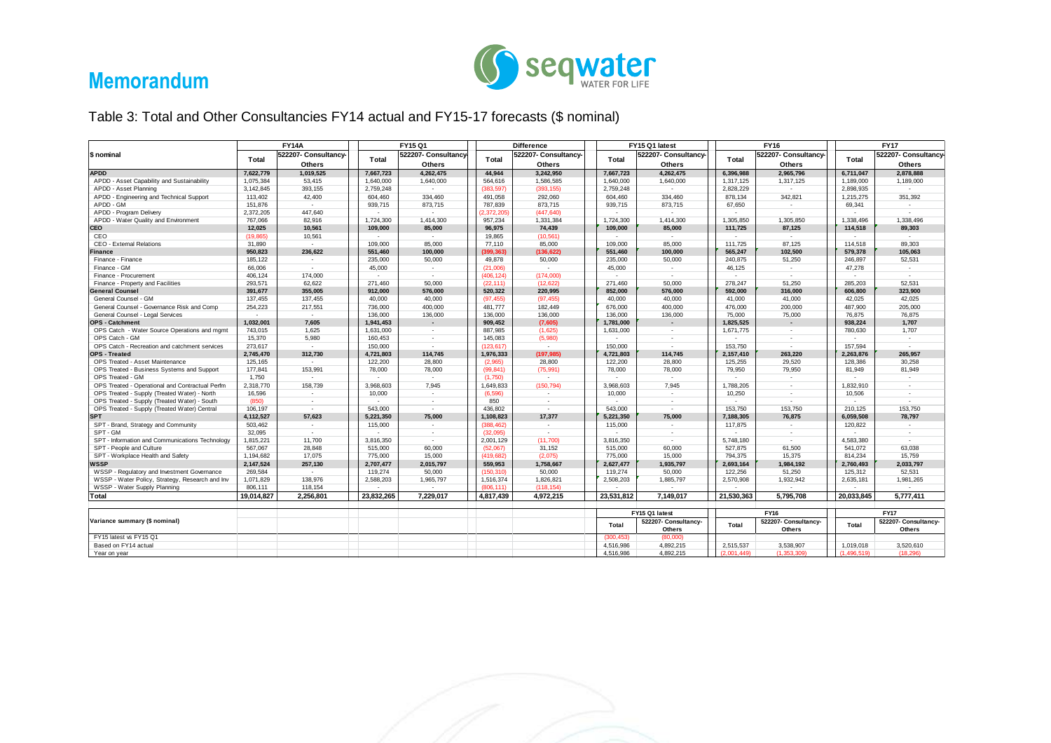

Table 3: Total and Other Consultancies FY14 actual and FY15-17 forecasts (\$ nominal)

| 522207- Consultancy-<br>522207- Consultancy-<br>522207- Consultancy<br>522207- Consultancy-<br>522207- Consultancv-<br>522207- Consultancy-<br>\$ nominal<br>Total<br>Total<br>Total<br><b>Total</b><br>Total<br>Total<br><b>Others</b><br><b>Others</b><br><b>Others</b><br><b>Others</b><br><b>Others</b><br>Others<br>7,622,779<br>1.019.525<br>4.262.475<br>3.242.950<br>4.262.475<br>2.965.796<br>2.878.888<br><b>APDD</b><br>7,667,723<br>44.944<br>7,667,723<br>6.396.988<br>6.711.047<br>APDD - Asset Capability and Sustainability<br>1,075,384<br>53,415<br>1,640,000<br>1,640,000<br>1,586,585<br>1,640,000<br>1,640,000<br>1,317,125<br>1,189,000<br>564.616<br>1,317,125<br>1,189,000<br>393.155<br>APDD - Asset Planning<br>3.142.845<br>2,759,248<br>(383.597)<br>(393, 155)<br>2,759,248<br>2,828,229<br>2.898.935<br>$\sim$<br>$\sim$<br>$\sim$<br>$\sim$<br>42,400<br>342,821<br>APDD - Engineering and Technical Support<br>113,402<br>604,460<br>334,460<br>491,058<br>292,060<br>604,460<br>334,460<br>878,134<br>1,215,275<br>351,392<br>APDD - GM<br>873,715<br>873,715<br>151,876<br>939,715<br>787,839<br>939,715<br>873,715<br>67,650<br>69,341<br>$\sim$<br>$\sim$<br>$\sim$<br>2,372,205<br>447,640<br>2,372,205<br>(447, 640)<br>APDD - Program Delivery<br>$\sim$<br>APDD - Water Quality and Environment<br>767,066<br>82.916<br>1.724.300<br>1.414.300<br>957.234<br>1,331,384<br>1.724.300<br>1.414.300<br>1.305.850<br>1.305.850<br>1.338.496<br>1.338.496<br><b>CEO</b><br>10,561<br>109.000<br>85,000<br>74,439<br>109.000<br>85.000<br>87,125<br>114.518<br>89.303<br>12,025<br>96,975<br>111,725<br>CEO<br>10,561<br>(19, 865)<br>19,865<br>(10, 561)<br>$\sim$<br>$\sim$<br>$\sim$<br>$\sim$<br>$\sim$<br>$\sim$<br>$\sim$<br>$\sim$<br>89.303<br>CEO - External Relations<br>85.000<br>109,000<br>85,000<br>87,125<br>114.518<br>31,890<br>109,000<br>77,110<br>85,000<br>111,725<br>$\sim$<br>102,500<br>100,000<br>551,460<br>100,000<br>565,247<br>105,063<br>950,823<br>236,622<br>551,460<br>399,363)<br>(136, 622)<br>579,378<br>Finance<br>185,122<br>235,000<br>50,000<br>50,000<br>50,000<br>51,250<br>52,531<br>Finance - Finance<br>49,878<br>235,000<br>240,875<br>246,897<br>$\sim$<br>66,006<br>45.000<br>(21.006)<br>45.000<br>46,125<br>47.278<br>Finance - GM<br>$\sim$<br>$\sim$<br>$\sim$<br>$\overline{\phantom{a}}$<br>Finance - Procurement<br>406,124<br>174,000<br>(174,000)<br>(406, 124)<br>$\sim$<br>$\sim$<br>$\sim$<br>$\sim$<br>$\sim$<br>$\overline{\phantom{a}}$<br>293,571<br>62,622<br>271.460<br>50,000<br>50,000<br>51.250<br>285.203<br>52.531<br>Finance - Property and Facilities<br>(22.111)<br>(12, 622)<br>271.460<br>278.247<br>355,005<br>912,000<br>576,000<br>220,995<br>852,000<br>576,000<br>316,000<br>323,900<br><b>General Counsel</b><br>391,677<br>520,322<br>592,000<br>606,800<br>137,455<br>General Counsel - GM<br>137,455<br>40,000<br>40,000<br>41,000<br>42,025<br>40,000<br>(97, 455)<br>(97, 455)<br>40,000<br>41,000<br>42,025<br>General Counsel - Governance Risk and Comp<br>254.223<br>217.551<br>736,000<br>400.000<br>481.777<br>182.449<br>676,000<br>400.000<br>476.000<br>200.000<br>487.900<br>205.000<br>General Counsel - Legal Services<br>136,000<br>136,000<br>136,000<br>136,000<br>136,000<br>136,000<br>75,000<br>76.875<br>76.875<br>$\sim$<br>75,000<br>$\sim$ $-$<br>1,032,001<br>909,452<br>(7,605)<br>1,707<br>7,605<br>1,941,453<br>1,781,000<br>1,825,525<br>938,224<br>$\overline{\phantom{a}}$<br>$\overline{\phantom{a}}$<br>$\overline{\phantom{a}}$<br>743,015<br>1.625<br>887.985<br>1,707<br>OPS Catch - Water Source Operations and mgmt<br>1,631,000<br>(1,625)<br>1,631,000<br>780,630<br>1,671,775<br>$\sim$<br>$\sim$<br>$\sim$<br>5,980<br>OPS Catch - GM<br>15,370<br>160,453<br>145,083<br>(5,980)<br>$\sim$<br>$\overline{\phantom{a}}$<br>$\sim$<br>$\sim$<br>157.594<br>OPS Catch - Recreation and catchment services<br>273,617<br>150,000<br>153,750<br>150,000<br>123,617)<br>$\sim$<br>$\sim$<br>$\sim$<br>$\sim$<br>$\sim$<br>265.957<br>2.745.470<br>312,730<br>4,721,803<br>114,745<br>1.976.333<br>(197, 985)<br>4.721.803<br>114.745<br>2,157,410<br>263.220<br>2.263.876<br>30.258<br>OPS Treated - Asset Maintenance<br>125.165<br>122,200<br>28,800<br>28,800<br>122,200<br>28,800<br>125,255<br>29,520<br>128,386<br>(2,965)<br>$\sim$<br>79.950<br>OPS Treated - Business Systems and Support<br>177,841<br>153.991<br>78,000<br>78,000<br>(75, 991)<br>78,000<br>78,000<br>81.949<br>81.949<br>(99, 841)<br>79.950<br>OPS Treated - GM<br>1,750<br>(1,750)<br>$\sim$<br>$\sim$<br>$\sim$<br>$\sim$<br>$\sim$<br>$\sim$<br>$\sim$<br>$\sim$<br>OPS Treated - Operational and Contractual Perfm<br>2,318,770<br>158,739<br>7,945<br>1,649,833<br>(150, 794)<br>7.945<br>3,968,603<br>3,968,603<br>1,788,205<br>1,832,910<br>$\sim$<br>$\sim$<br>OPS Treated - Supply (Treated Water) - North<br>16,596<br>10,000<br>(6, 596)<br>10,000<br>10,506<br>10,250<br>$\sim$<br>$\sim$<br>×.<br>$\sim$<br>$\sim$<br>OPS Treated - Supply (Treated Water) - South<br>(850)<br>850<br>$\sim$<br>$\sim$<br>$\sim$<br>$\sim$<br>$\sim$<br>$\sim$<br>OPS Treated - Supply (Treated Water) Central<br>106.197<br>543.000<br>436.802<br>543.000<br>153.750<br>153.750<br>210.125<br>153.750<br>$\sim$<br>$\sim$<br>$\sim$<br>$\sim$<br>78.797<br>4,112,527<br>57.623<br>5,221,350<br>75.000<br>1.108.823<br>17,377<br>5,221,350<br>75.000<br>7,188,305<br>76.875<br>6,059,508<br>SPT - Brand, Strategy and Community<br>503,462<br>115,000<br>(388, 462)<br>115,000<br>117,875<br>120,822<br>$\sim$<br>$\sim$<br>$\sim$<br>$\sim$<br>$\sim$<br>$\overline{\phantom{a}}$<br>32,095<br>(32,095)<br>SPT - GM<br>$\sim$<br>$\overline{\phantom{a}}$<br>$\overline{\phantom{a}}$<br>$\sim$<br>$\sim$<br>$\overline{\phantom{a}}$<br>$\overline{\phantom{a}}$<br>11.700<br>SPT - Information and Communications Technology<br>1,815,221<br>3,816,350<br>(11,700)<br>3,816,350<br>5,748,180<br>4.583.380<br>2,001,129<br>$\sim$<br>$\sim$<br>SPT - People and Culture<br>567,067<br>28,848<br>515,000<br>60,000<br>(52,067)<br>31,152<br>515,000<br>60,000<br>527,875<br>61,500<br>541,072<br>63,038<br>17,075<br>15,759<br>SPT - Workplace Health and Safety<br>1,194,682<br>775,000<br>15,000<br>(419, 682)<br>(2,075)<br>775,000<br>15,000<br>15,375<br>814,234<br>794,375<br><b>WSSP</b><br>2,147,524<br>257,130<br>2,015,797<br>2,033,797<br>2,707,477<br>559.953<br>1,758,667<br>2,627,477<br>1,935,797<br>2,693,164<br>1,984,192<br>2,760,493<br>WSSP - Regulatory and Investment Governance<br>269,584<br>52.531<br>$\sim$<br>119,274<br>50,000<br>(150, 310)<br>50,000<br>119,274<br>50,000<br>122,256<br>51,250<br>125,312<br>WSSP - Water Policy, Strategy, Research and Inv<br>1,071,829<br>138,976<br>1,965,797<br>1,826,821<br>2,508,203<br>1,885,797<br>1,932,942<br>1,981,265<br>2,588,203<br>1,516,374<br>2,570,908<br>2,635,181<br>WSSP - Water Supply Planning<br>806.111<br>118,154<br>(806.111)<br>(118.154)<br>$\sim$<br>19,014,827<br>2.256.801<br>23,832,265<br>4,972,215<br>23,531,812<br>21,530,363<br>5.795.708<br>5.777.411<br>7,229,017<br>4,817,439<br>7.149.017<br>20.033.845<br><b>Total</b><br>FY15 Q1 latest<br><b>FY16</b><br><b>FY17</b><br>Variance summary (\$ nominal)<br>522207- Consultancy-<br>522207- Consultancy-<br>522207- Consultancy-<br>Total<br>Total<br>Total<br>Others<br>Others<br>Others<br>FY15 latest vs FY15 Q1<br>(300, 453)<br>(80,000)<br>Based on FY14 actual<br>4,516,986<br>4,892,215<br>2.515.537<br>3.538.907<br>1.019.018<br>3.520.610<br>4.892.215<br>(1.353.309)<br>4.516.986<br>(2.001.449)<br>(1.496.519)<br>(18.296)<br>Year on year |                        | <b>FY14A</b><br>FY15 Q1 |  | <b>Difference</b> |  | FY15 Q1 latest |  | <b>FY16</b> |  | <b>FY17</b> |  |  |  |  |
|------------------------------------------------------------------------------------------------------------------------------------------------------------------------------------------------------------------------------------------------------------------------------------------------------------------------------------------------------------------------------------------------------------------------------------------------------------------------------------------------------------------------------------------------------------------------------------------------------------------------------------------------------------------------------------------------------------------------------------------------------------------------------------------------------------------------------------------------------------------------------------------------------------------------------------------------------------------------------------------------------------------------------------------------------------------------------------------------------------------------------------------------------------------------------------------------------------------------------------------------------------------------------------------------------------------------------------------------------------------------------------------------------------------------------------------------------------------------------------------------------------------------------------------------------------------------------------------------------------------------------------------------------------------------------------------------------------------------------------------------------------------------------------------------------------------------------------------------------------------------------------------------------------------------------------------------------------------------------------------------------------------------------------------------------------------------------------------------------------------------------------------------------------------------------------------------------------------------------------------------------------------------------------------------------------------------------------------------------------------------------------------------------------------------------------------------------------------------------------------------------------------------------------------------------------------------------------------------------------------------------------------------------------------------------------------------------------------------------------------------------------------------------------------------------------------------------------------------------------------------------------------------------------------------------------------------------------------------------------------------------------------------------------------------------------------------------------------------------------------------------------------------------------------------------------------------------------------------------------------------------------------------------------------------------------------------------------------------------------------------------------------------------------------------------------------------------------------------------------------------------------------------------------------------------------------------------------------------------------------------------------------------------------------------------------------------------------------------------------------------------------------------------------------------------------------------------------------------------------------------------------------------------------------------------------------------------------------------------------------------------------------------------------------------------------------------------------------------------------------------------------------------------------------------------------------------------------------------------------------------------------------------------------------------------------------------------------------------------------------------------------------------------------------------------------------------------------------------------------------------------------------------------------------------------------------------------------------------------------------------------------------------------------------------------------------------------------------------------------------------------------------------------------------------------------------------------------------------------------------------------------------------------------------------------------------------------------------------------------------------------------------------------------------------------------------------------------------------------------------------------------------------------------------------------------------------------------------------------------------------------------------------------------------------------------------------------------------------------------------------------------------------------------------------------------------------------------------------------------------------------------------------------------------------------------------------------------------------------------------------------------------------------------------------------------------------------------------------------------------------------------------------------------------------------------------------------------------------------------------------------------------------------------------------------------------------------------------------------------------------------------------------------------------------------------------------------------------------------------------------------------------------------------------------------------------------------------------------------------------------------------------------------------------------------------------------------------------------------------------------------------------------------------------------------------------------------------------------------------------------------------------------------------------------------------------------------------------------------------------------------------------------------------------------------------------------------------------------------------------------------------------------------------------------------------------------------------------------------------------------------------------------------------------------------------------------------------------------------------------------------------------------------------------------------------------------------------------------------------------------------------------------------------------------------------------------------------------------------------------------------------------------------------------------------------------------------------------------------------------------------------------------------------------------------------------------------------------------------------------------------------------------------------------------------------------------------------------------------------------------------------------------------------------------------------------------------------------------------------------------------|------------------------|-------------------------|--|-------------------|--|----------------|--|-------------|--|-------------|--|--|--|--|
|                                                                                                                                                                                                                                                                                                                                                                                                                                                                                                                                                                                                                                                                                                                                                                                                                                                                                                                                                                                                                                                                                                                                                                                                                                                                                                                                                                                                                                                                                                                                                                                                                                                                                                                                                                                                                                                                                                                                                                                                                                                                                                                                                                                                                                                                                                                                                                                                                                                                                                                                                                                                                                                                                                                                                                                                                                                                                                                                                                                                                                                                                                                                                                                                                                                                                                                                                                                                                                                                                                                                                                                                                                                                                                                                                                                                                                                                                                                                                                                                                                                                                                                                                                                                                                                                                                                                                                                                                                                                                                                                                                                                                                                                                                                                                                                                                                                                                                                                                                                                                                                                                                                                                                                                                                                                                                                                                                                                                                                                                                                                                                                                                                                                                                                                                                                                                                                                                                                                                                                                                                                                                                                                                                                                                                                                                                                                                                                                                                                                                                                                                                                                                                                                                                                                                                                                                                                                                                                                                                                                                                                                                                                                                                                                                                                                                                                                                                                                                                                                                                                                                                                                                                                                                                                                                      |                        |                         |  |                   |  |                |  |             |  |             |  |  |  |  |
|                                                                                                                                                                                                                                                                                                                                                                                                                                                                                                                                                                                                                                                                                                                                                                                                                                                                                                                                                                                                                                                                                                                                                                                                                                                                                                                                                                                                                                                                                                                                                                                                                                                                                                                                                                                                                                                                                                                                                                                                                                                                                                                                                                                                                                                                                                                                                                                                                                                                                                                                                                                                                                                                                                                                                                                                                                                                                                                                                                                                                                                                                                                                                                                                                                                                                                                                                                                                                                                                                                                                                                                                                                                                                                                                                                                                                                                                                                                                                                                                                                                                                                                                                                                                                                                                                                                                                                                                                                                                                                                                                                                                                                                                                                                                                                                                                                                                                                                                                                                                                                                                                                                                                                                                                                                                                                                                                                                                                                                                                                                                                                                                                                                                                                                                                                                                                                                                                                                                                                                                                                                                                                                                                                                                                                                                                                                                                                                                                                                                                                                                                                                                                                                                                                                                                                                                                                                                                                                                                                                                                                                                                                                                                                                                                                                                                                                                                                                                                                                                                                                                                                                                                                                                                                                                                      |                        |                         |  |                   |  |                |  |             |  |             |  |  |  |  |
|                                                                                                                                                                                                                                                                                                                                                                                                                                                                                                                                                                                                                                                                                                                                                                                                                                                                                                                                                                                                                                                                                                                                                                                                                                                                                                                                                                                                                                                                                                                                                                                                                                                                                                                                                                                                                                                                                                                                                                                                                                                                                                                                                                                                                                                                                                                                                                                                                                                                                                                                                                                                                                                                                                                                                                                                                                                                                                                                                                                                                                                                                                                                                                                                                                                                                                                                                                                                                                                                                                                                                                                                                                                                                                                                                                                                                                                                                                                                                                                                                                                                                                                                                                                                                                                                                                                                                                                                                                                                                                                                                                                                                                                                                                                                                                                                                                                                                                                                                                                                                                                                                                                                                                                                                                                                                                                                                                                                                                                                                                                                                                                                                                                                                                                                                                                                                                                                                                                                                                                                                                                                                                                                                                                                                                                                                                                                                                                                                                                                                                                                                                                                                                                                                                                                                                                                                                                                                                                                                                                                                                                                                                                                                                                                                                                                                                                                                                                                                                                                                                                                                                                                                                                                                                                                                      |                        |                         |  |                   |  |                |  |             |  |             |  |  |  |  |
|                                                                                                                                                                                                                                                                                                                                                                                                                                                                                                                                                                                                                                                                                                                                                                                                                                                                                                                                                                                                                                                                                                                                                                                                                                                                                                                                                                                                                                                                                                                                                                                                                                                                                                                                                                                                                                                                                                                                                                                                                                                                                                                                                                                                                                                                                                                                                                                                                                                                                                                                                                                                                                                                                                                                                                                                                                                                                                                                                                                                                                                                                                                                                                                                                                                                                                                                                                                                                                                                                                                                                                                                                                                                                                                                                                                                                                                                                                                                                                                                                                                                                                                                                                                                                                                                                                                                                                                                                                                                                                                                                                                                                                                                                                                                                                                                                                                                                                                                                                                                                                                                                                                                                                                                                                                                                                                                                                                                                                                                                                                                                                                                                                                                                                                                                                                                                                                                                                                                                                                                                                                                                                                                                                                                                                                                                                                                                                                                                                                                                                                                                                                                                                                                                                                                                                                                                                                                                                                                                                                                                                                                                                                                                                                                                                                                                                                                                                                                                                                                                                                                                                                                                                                                                                                                                      |                        |                         |  |                   |  |                |  |             |  |             |  |  |  |  |
|                                                                                                                                                                                                                                                                                                                                                                                                                                                                                                                                                                                                                                                                                                                                                                                                                                                                                                                                                                                                                                                                                                                                                                                                                                                                                                                                                                                                                                                                                                                                                                                                                                                                                                                                                                                                                                                                                                                                                                                                                                                                                                                                                                                                                                                                                                                                                                                                                                                                                                                                                                                                                                                                                                                                                                                                                                                                                                                                                                                                                                                                                                                                                                                                                                                                                                                                                                                                                                                                                                                                                                                                                                                                                                                                                                                                                                                                                                                                                                                                                                                                                                                                                                                                                                                                                                                                                                                                                                                                                                                                                                                                                                                                                                                                                                                                                                                                                                                                                                                                                                                                                                                                                                                                                                                                                                                                                                                                                                                                                                                                                                                                                                                                                                                                                                                                                                                                                                                                                                                                                                                                                                                                                                                                                                                                                                                                                                                                                                                                                                                                                                                                                                                                                                                                                                                                                                                                                                                                                                                                                                                                                                                                                                                                                                                                                                                                                                                                                                                                                                                                                                                                                                                                                                                                                      |                        |                         |  |                   |  |                |  |             |  |             |  |  |  |  |
|                                                                                                                                                                                                                                                                                                                                                                                                                                                                                                                                                                                                                                                                                                                                                                                                                                                                                                                                                                                                                                                                                                                                                                                                                                                                                                                                                                                                                                                                                                                                                                                                                                                                                                                                                                                                                                                                                                                                                                                                                                                                                                                                                                                                                                                                                                                                                                                                                                                                                                                                                                                                                                                                                                                                                                                                                                                                                                                                                                                                                                                                                                                                                                                                                                                                                                                                                                                                                                                                                                                                                                                                                                                                                                                                                                                                                                                                                                                                                                                                                                                                                                                                                                                                                                                                                                                                                                                                                                                                                                                                                                                                                                                                                                                                                                                                                                                                                                                                                                                                                                                                                                                                                                                                                                                                                                                                                                                                                                                                                                                                                                                                                                                                                                                                                                                                                                                                                                                                                                                                                                                                                                                                                                                                                                                                                                                                                                                                                                                                                                                                                                                                                                                                                                                                                                                                                                                                                                                                                                                                                                                                                                                                                                                                                                                                                                                                                                                                                                                                                                                                                                                                                                                                                                                                                      |                        |                         |  |                   |  |                |  |             |  |             |  |  |  |  |
|                                                                                                                                                                                                                                                                                                                                                                                                                                                                                                                                                                                                                                                                                                                                                                                                                                                                                                                                                                                                                                                                                                                                                                                                                                                                                                                                                                                                                                                                                                                                                                                                                                                                                                                                                                                                                                                                                                                                                                                                                                                                                                                                                                                                                                                                                                                                                                                                                                                                                                                                                                                                                                                                                                                                                                                                                                                                                                                                                                                                                                                                                                                                                                                                                                                                                                                                                                                                                                                                                                                                                                                                                                                                                                                                                                                                                                                                                                                                                                                                                                                                                                                                                                                                                                                                                                                                                                                                                                                                                                                                                                                                                                                                                                                                                                                                                                                                                                                                                                                                                                                                                                                                                                                                                                                                                                                                                                                                                                                                                                                                                                                                                                                                                                                                                                                                                                                                                                                                                                                                                                                                                                                                                                                                                                                                                                                                                                                                                                                                                                                                                                                                                                                                                                                                                                                                                                                                                                                                                                                                                                                                                                                                                                                                                                                                                                                                                                                                                                                                                                                                                                                                                                                                                                                                                      |                        |                         |  |                   |  |                |  |             |  |             |  |  |  |  |
|                                                                                                                                                                                                                                                                                                                                                                                                                                                                                                                                                                                                                                                                                                                                                                                                                                                                                                                                                                                                                                                                                                                                                                                                                                                                                                                                                                                                                                                                                                                                                                                                                                                                                                                                                                                                                                                                                                                                                                                                                                                                                                                                                                                                                                                                                                                                                                                                                                                                                                                                                                                                                                                                                                                                                                                                                                                                                                                                                                                                                                                                                                                                                                                                                                                                                                                                                                                                                                                                                                                                                                                                                                                                                                                                                                                                                                                                                                                                                                                                                                                                                                                                                                                                                                                                                                                                                                                                                                                                                                                                                                                                                                                                                                                                                                                                                                                                                                                                                                                                                                                                                                                                                                                                                                                                                                                                                                                                                                                                                                                                                                                                                                                                                                                                                                                                                                                                                                                                                                                                                                                                                                                                                                                                                                                                                                                                                                                                                                                                                                                                                                                                                                                                                                                                                                                                                                                                                                                                                                                                                                                                                                                                                                                                                                                                                                                                                                                                                                                                                                                                                                                                                                                                                                                                                      |                        |                         |  |                   |  |                |  |             |  |             |  |  |  |  |
|                                                                                                                                                                                                                                                                                                                                                                                                                                                                                                                                                                                                                                                                                                                                                                                                                                                                                                                                                                                                                                                                                                                                                                                                                                                                                                                                                                                                                                                                                                                                                                                                                                                                                                                                                                                                                                                                                                                                                                                                                                                                                                                                                                                                                                                                                                                                                                                                                                                                                                                                                                                                                                                                                                                                                                                                                                                                                                                                                                                                                                                                                                                                                                                                                                                                                                                                                                                                                                                                                                                                                                                                                                                                                                                                                                                                                                                                                                                                                                                                                                                                                                                                                                                                                                                                                                                                                                                                                                                                                                                                                                                                                                                                                                                                                                                                                                                                                                                                                                                                                                                                                                                                                                                                                                                                                                                                                                                                                                                                                                                                                                                                                                                                                                                                                                                                                                                                                                                                                                                                                                                                                                                                                                                                                                                                                                                                                                                                                                                                                                                                                                                                                                                                                                                                                                                                                                                                                                                                                                                                                                                                                                                                                                                                                                                                                                                                                                                                                                                                                                                                                                                                                                                                                                                                                      |                        |                         |  |                   |  |                |  |             |  |             |  |  |  |  |
|                                                                                                                                                                                                                                                                                                                                                                                                                                                                                                                                                                                                                                                                                                                                                                                                                                                                                                                                                                                                                                                                                                                                                                                                                                                                                                                                                                                                                                                                                                                                                                                                                                                                                                                                                                                                                                                                                                                                                                                                                                                                                                                                                                                                                                                                                                                                                                                                                                                                                                                                                                                                                                                                                                                                                                                                                                                                                                                                                                                                                                                                                                                                                                                                                                                                                                                                                                                                                                                                                                                                                                                                                                                                                                                                                                                                                                                                                                                                                                                                                                                                                                                                                                                                                                                                                                                                                                                                                                                                                                                                                                                                                                                                                                                                                                                                                                                                                                                                                                                                                                                                                                                                                                                                                                                                                                                                                                                                                                                                                                                                                                                                                                                                                                                                                                                                                                                                                                                                                                                                                                                                                                                                                                                                                                                                                                                                                                                                                                                                                                                                                                                                                                                                                                                                                                                                                                                                                                                                                                                                                                                                                                                                                                                                                                                                                                                                                                                                                                                                                                                                                                                                                                                                                                                                                      |                        |                         |  |                   |  |                |  |             |  |             |  |  |  |  |
|                                                                                                                                                                                                                                                                                                                                                                                                                                                                                                                                                                                                                                                                                                                                                                                                                                                                                                                                                                                                                                                                                                                                                                                                                                                                                                                                                                                                                                                                                                                                                                                                                                                                                                                                                                                                                                                                                                                                                                                                                                                                                                                                                                                                                                                                                                                                                                                                                                                                                                                                                                                                                                                                                                                                                                                                                                                                                                                                                                                                                                                                                                                                                                                                                                                                                                                                                                                                                                                                                                                                                                                                                                                                                                                                                                                                                                                                                                                                                                                                                                                                                                                                                                                                                                                                                                                                                                                                                                                                                                                                                                                                                                                                                                                                                                                                                                                                                                                                                                                                                                                                                                                                                                                                                                                                                                                                                                                                                                                                                                                                                                                                                                                                                                                                                                                                                                                                                                                                                                                                                                                                                                                                                                                                                                                                                                                                                                                                                                                                                                                                                                                                                                                                                                                                                                                                                                                                                                                                                                                                                                                                                                                                                                                                                                                                                                                                                                                                                                                                                                                                                                                                                                                                                                                                                      |                        |                         |  |                   |  |                |  |             |  |             |  |  |  |  |
|                                                                                                                                                                                                                                                                                                                                                                                                                                                                                                                                                                                                                                                                                                                                                                                                                                                                                                                                                                                                                                                                                                                                                                                                                                                                                                                                                                                                                                                                                                                                                                                                                                                                                                                                                                                                                                                                                                                                                                                                                                                                                                                                                                                                                                                                                                                                                                                                                                                                                                                                                                                                                                                                                                                                                                                                                                                                                                                                                                                                                                                                                                                                                                                                                                                                                                                                                                                                                                                                                                                                                                                                                                                                                                                                                                                                                                                                                                                                                                                                                                                                                                                                                                                                                                                                                                                                                                                                                                                                                                                                                                                                                                                                                                                                                                                                                                                                                                                                                                                                                                                                                                                                                                                                                                                                                                                                                                                                                                                                                                                                                                                                                                                                                                                                                                                                                                                                                                                                                                                                                                                                                                                                                                                                                                                                                                                                                                                                                                                                                                                                                                                                                                                                                                                                                                                                                                                                                                                                                                                                                                                                                                                                                                                                                                                                                                                                                                                                                                                                                                                                                                                                                                                                                                                                                      |                        |                         |  |                   |  |                |  |             |  |             |  |  |  |  |
|                                                                                                                                                                                                                                                                                                                                                                                                                                                                                                                                                                                                                                                                                                                                                                                                                                                                                                                                                                                                                                                                                                                                                                                                                                                                                                                                                                                                                                                                                                                                                                                                                                                                                                                                                                                                                                                                                                                                                                                                                                                                                                                                                                                                                                                                                                                                                                                                                                                                                                                                                                                                                                                                                                                                                                                                                                                                                                                                                                                                                                                                                                                                                                                                                                                                                                                                                                                                                                                                                                                                                                                                                                                                                                                                                                                                                                                                                                                                                                                                                                                                                                                                                                                                                                                                                                                                                                                                                                                                                                                                                                                                                                                                                                                                                                                                                                                                                                                                                                                                                                                                                                                                                                                                                                                                                                                                                                                                                                                                                                                                                                                                                                                                                                                                                                                                                                                                                                                                                                                                                                                                                                                                                                                                                                                                                                                                                                                                                                                                                                                                                                                                                                                                                                                                                                                                                                                                                                                                                                                                                                                                                                                                                                                                                                                                                                                                                                                                                                                                                                                                                                                                                                                                                                                                                      |                        |                         |  |                   |  |                |  |             |  |             |  |  |  |  |
|                                                                                                                                                                                                                                                                                                                                                                                                                                                                                                                                                                                                                                                                                                                                                                                                                                                                                                                                                                                                                                                                                                                                                                                                                                                                                                                                                                                                                                                                                                                                                                                                                                                                                                                                                                                                                                                                                                                                                                                                                                                                                                                                                                                                                                                                                                                                                                                                                                                                                                                                                                                                                                                                                                                                                                                                                                                                                                                                                                                                                                                                                                                                                                                                                                                                                                                                                                                                                                                                                                                                                                                                                                                                                                                                                                                                                                                                                                                                                                                                                                                                                                                                                                                                                                                                                                                                                                                                                                                                                                                                                                                                                                                                                                                                                                                                                                                                                                                                                                                                                                                                                                                                                                                                                                                                                                                                                                                                                                                                                                                                                                                                                                                                                                                                                                                                                                                                                                                                                                                                                                                                                                                                                                                                                                                                                                                                                                                                                                                                                                                                                                                                                                                                                                                                                                                                                                                                                                                                                                                                                                                                                                                                                                                                                                                                                                                                                                                                                                                                                                                                                                                                                                                                                                                                                      |                        |                         |  |                   |  |                |  |             |  |             |  |  |  |  |
|                                                                                                                                                                                                                                                                                                                                                                                                                                                                                                                                                                                                                                                                                                                                                                                                                                                                                                                                                                                                                                                                                                                                                                                                                                                                                                                                                                                                                                                                                                                                                                                                                                                                                                                                                                                                                                                                                                                                                                                                                                                                                                                                                                                                                                                                                                                                                                                                                                                                                                                                                                                                                                                                                                                                                                                                                                                                                                                                                                                                                                                                                                                                                                                                                                                                                                                                                                                                                                                                                                                                                                                                                                                                                                                                                                                                                                                                                                                                                                                                                                                                                                                                                                                                                                                                                                                                                                                                                                                                                                                                                                                                                                                                                                                                                                                                                                                                                                                                                                                                                                                                                                                                                                                                                                                                                                                                                                                                                                                                                                                                                                                                                                                                                                                                                                                                                                                                                                                                                                                                                                                                                                                                                                                                                                                                                                                                                                                                                                                                                                                                                                                                                                                                                                                                                                                                                                                                                                                                                                                                                                                                                                                                                                                                                                                                                                                                                                                                                                                                                                                                                                                                                                                                                                                                                      |                        |                         |  |                   |  |                |  |             |  |             |  |  |  |  |
|                                                                                                                                                                                                                                                                                                                                                                                                                                                                                                                                                                                                                                                                                                                                                                                                                                                                                                                                                                                                                                                                                                                                                                                                                                                                                                                                                                                                                                                                                                                                                                                                                                                                                                                                                                                                                                                                                                                                                                                                                                                                                                                                                                                                                                                                                                                                                                                                                                                                                                                                                                                                                                                                                                                                                                                                                                                                                                                                                                                                                                                                                                                                                                                                                                                                                                                                                                                                                                                                                                                                                                                                                                                                                                                                                                                                                                                                                                                                                                                                                                                                                                                                                                                                                                                                                                                                                                                                                                                                                                                                                                                                                                                                                                                                                                                                                                                                                                                                                                                                                                                                                                                                                                                                                                                                                                                                                                                                                                                                                                                                                                                                                                                                                                                                                                                                                                                                                                                                                                                                                                                                                                                                                                                                                                                                                                                                                                                                                                                                                                                                                                                                                                                                                                                                                                                                                                                                                                                                                                                                                                                                                                                                                                                                                                                                                                                                                                                                                                                                                                                                                                                                                                                                                                                                                      |                        |                         |  |                   |  |                |  |             |  |             |  |  |  |  |
|                                                                                                                                                                                                                                                                                                                                                                                                                                                                                                                                                                                                                                                                                                                                                                                                                                                                                                                                                                                                                                                                                                                                                                                                                                                                                                                                                                                                                                                                                                                                                                                                                                                                                                                                                                                                                                                                                                                                                                                                                                                                                                                                                                                                                                                                                                                                                                                                                                                                                                                                                                                                                                                                                                                                                                                                                                                                                                                                                                                                                                                                                                                                                                                                                                                                                                                                                                                                                                                                                                                                                                                                                                                                                                                                                                                                                                                                                                                                                                                                                                                                                                                                                                                                                                                                                                                                                                                                                                                                                                                                                                                                                                                                                                                                                                                                                                                                                                                                                                                                                                                                                                                                                                                                                                                                                                                                                                                                                                                                                                                                                                                                                                                                                                                                                                                                                                                                                                                                                                                                                                                                                                                                                                                                                                                                                                                                                                                                                                                                                                                                                                                                                                                                                                                                                                                                                                                                                                                                                                                                                                                                                                                                                                                                                                                                                                                                                                                                                                                                                                                                                                                                                                                                                                                                                      |                        |                         |  |                   |  |                |  |             |  |             |  |  |  |  |
|                                                                                                                                                                                                                                                                                                                                                                                                                                                                                                                                                                                                                                                                                                                                                                                                                                                                                                                                                                                                                                                                                                                                                                                                                                                                                                                                                                                                                                                                                                                                                                                                                                                                                                                                                                                                                                                                                                                                                                                                                                                                                                                                                                                                                                                                                                                                                                                                                                                                                                                                                                                                                                                                                                                                                                                                                                                                                                                                                                                                                                                                                                                                                                                                                                                                                                                                                                                                                                                                                                                                                                                                                                                                                                                                                                                                                                                                                                                                                                                                                                                                                                                                                                                                                                                                                                                                                                                                                                                                                                                                                                                                                                                                                                                                                                                                                                                                                                                                                                                                                                                                                                                                                                                                                                                                                                                                                                                                                                                                                                                                                                                                                                                                                                                                                                                                                                                                                                                                                                                                                                                                                                                                                                                                                                                                                                                                                                                                                                                                                                                                                                                                                                                                                                                                                                                                                                                                                                                                                                                                                                                                                                                                                                                                                                                                                                                                                                                                                                                                                                                                                                                                                                                                                                                                                      |                        |                         |  |                   |  |                |  |             |  |             |  |  |  |  |
|                                                                                                                                                                                                                                                                                                                                                                                                                                                                                                                                                                                                                                                                                                                                                                                                                                                                                                                                                                                                                                                                                                                                                                                                                                                                                                                                                                                                                                                                                                                                                                                                                                                                                                                                                                                                                                                                                                                                                                                                                                                                                                                                                                                                                                                                                                                                                                                                                                                                                                                                                                                                                                                                                                                                                                                                                                                                                                                                                                                                                                                                                                                                                                                                                                                                                                                                                                                                                                                                                                                                                                                                                                                                                                                                                                                                                                                                                                                                                                                                                                                                                                                                                                                                                                                                                                                                                                                                                                                                                                                                                                                                                                                                                                                                                                                                                                                                                                                                                                                                                                                                                                                                                                                                                                                                                                                                                                                                                                                                                                                                                                                                                                                                                                                                                                                                                                                                                                                                                                                                                                                                                                                                                                                                                                                                                                                                                                                                                                                                                                                                                                                                                                                                                                                                                                                                                                                                                                                                                                                                                                                                                                                                                                                                                                                                                                                                                                                                                                                                                                                                                                                                                                                                                                                                                      |                        |                         |  |                   |  |                |  |             |  |             |  |  |  |  |
|                                                                                                                                                                                                                                                                                                                                                                                                                                                                                                                                                                                                                                                                                                                                                                                                                                                                                                                                                                                                                                                                                                                                                                                                                                                                                                                                                                                                                                                                                                                                                                                                                                                                                                                                                                                                                                                                                                                                                                                                                                                                                                                                                                                                                                                                                                                                                                                                                                                                                                                                                                                                                                                                                                                                                                                                                                                                                                                                                                                                                                                                                                                                                                                                                                                                                                                                                                                                                                                                                                                                                                                                                                                                                                                                                                                                                                                                                                                                                                                                                                                                                                                                                                                                                                                                                                                                                                                                                                                                                                                                                                                                                                                                                                                                                                                                                                                                                                                                                                                                                                                                                                                                                                                                                                                                                                                                                                                                                                                                                                                                                                                                                                                                                                                                                                                                                                                                                                                                                                                                                                                                                                                                                                                                                                                                                                                                                                                                                                                                                                                                                                                                                                                                                                                                                                                                                                                                                                                                                                                                                                                                                                                                                                                                                                                                                                                                                                                                                                                                                                                                                                                                                                                                                                                                                      |                        |                         |  |                   |  |                |  |             |  |             |  |  |  |  |
|                                                                                                                                                                                                                                                                                                                                                                                                                                                                                                                                                                                                                                                                                                                                                                                                                                                                                                                                                                                                                                                                                                                                                                                                                                                                                                                                                                                                                                                                                                                                                                                                                                                                                                                                                                                                                                                                                                                                                                                                                                                                                                                                                                                                                                                                                                                                                                                                                                                                                                                                                                                                                                                                                                                                                                                                                                                                                                                                                                                                                                                                                                                                                                                                                                                                                                                                                                                                                                                                                                                                                                                                                                                                                                                                                                                                                                                                                                                                                                                                                                                                                                                                                                                                                                                                                                                                                                                                                                                                                                                                                                                                                                                                                                                                                                                                                                                                                                                                                                                                                                                                                                                                                                                                                                                                                                                                                                                                                                                                                                                                                                                                                                                                                                                                                                                                                                                                                                                                                                                                                                                                                                                                                                                                                                                                                                                                                                                                                                                                                                                                                                                                                                                                                                                                                                                                                                                                                                                                                                                                                                                                                                                                                                                                                                                                                                                                                                                                                                                                                                                                                                                                                                                                                                                                                      |                        |                         |  |                   |  |                |  |             |  |             |  |  |  |  |
|                                                                                                                                                                                                                                                                                                                                                                                                                                                                                                                                                                                                                                                                                                                                                                                                                                                                                                                                                                                                                                                                                                                                                                                                                                                                                                                                                                                                                                                                                                                                                                                                                                                                                                                                                                                                                                                                                                                                                                                                                                                                                                                                                                                                                                                                                                                                                                                                                                                                                                                                                                                                                                                                                                                                                                                                                                                                                                                                                                                                                                                                                                                                                                                                                                                                                                                                                                                                                                                                                                                                                                                                                                                                                                                                                                                                                                                                                                                                                                                                                                                                                                                                                                                                                                                                                                                                                                                                                                                                                                                                                                                                                                                                                                                                                                                                                                                                                                                                                                                                                                                                                                                                                                                                                                                                                                                                                                                                                                                                                                                                                                                                                                                                                                                                                                                                                                                                                                                                                                                                                                                                                                                                                                                                                                                                                                                                                                                                                                                                                                                                                                                                                                                                                                                                                                                                                                                                                                                                                                                                                                                                                                                                                                                                                                                                                                                                                                                                                                                                                                                                                                                                                                                                                                                                                      |                        |                         |  |                   |  |                |  |             |  |             |  |  |  |  |
|                                                                                                                                                                                                                                                                                                                                                                                                                                                                                                                                                                                                                                                                                                                                                                                                                                                                                                                                                                                                                                                                                                                                                                                                                                                                                                                                                                                                                                                                                                                                                                                                                                                                                                                                                                                                                                                                                                                                                                                                                                                                                                                                                                                                                                                                                                                                                                                                                                                                                                                                                                                                                                                                                                                                                                                                                                                                                                                                                                                                                                                                                                                                                                                                                                                                                                                                                                                                                                                                                                                                                                                                                                                                                                                                                                                                                                                                                                                                                                                                                                                                                                                                                                                                                                                                                                                                                                                                                                                                                                                                                                                                                                                                                                                                                                                                                                                                                                                                                                                                                                                                                                                                                                                                                                                                                                                                                                                                                                                                                                                                                                                                                                                                                                                                                                                                                                                                                                                                                                                                                                                                                                                                                                                                                                                                                                                                                                                                                                                                                                                                                                                                                                                                                                                                                                                                                                                                                                                                                                                                                                                                                                                                                                                                                                                                                                                                                                                                                                                                                                                                                                                                                                                                                                                                                      | <b>OPS - Catchment</b> |                         |  |                   |  |                |  |             |  |             |  |  |  |  |
|                                                                                                                                                                                                                                                                                                                                                                                                                                                                                                                                                                                                                                                                                                                                                                                                                                                                                                                                                                                                                                                                                                                                                                                                                                                                                                                                                                                                                                                                                                                                                                                                                                                                                                                                                                                                                                                                                                                                                                                                                                                                                                                                                                                                                                                                                                                                                                                                                                                                                                                                                                                                                                                                                                                                                                                                                                                                                                                                                                                                                                                                                                                                                                                                                                                                                                                                                                                                                                                                                                                                                                                                                                                                                                                                                                                                                                                                                                                                                                                                                                                                                                                                                                                                                                                                                                                                                                                                                                                                                                                                                                                                                                                                                                                                                                                                                                                                                                                                                                                                                                                                                                                                                                                                                                                                                                                                                                                                                                                                                                                                                                                                                                                                                                                                                                                                                                                                                                                                                                                                                                                                                                                                                                                                                                                                                                                                                                                                                                                                                                                                                                                                                                                                                                                                                                                                                                                                                                                                                                                                                                                                                                                                                                                                                                                                                                                                                                                                                                                                                                                                                                                                                                                                                                                                                      |                        |                         |  |                   |  |                |  |             |  |             |  |  |  |  |
|                                                                                                                                                                                                                                                                                                                                                                                                                                                                                                                                                                                                                                                                                                                                                                                                                                                                                                                                                                                                                                                                                                                                                                                                                                                                                                                                                                                                                                                                                                                                                                                                                                                                                                                                                                                                                                                                                                                                                                                                                                                                                                                                                                                                                                                                                                                                                                                                                                                                                                                                                                                                                                                                                                                                                                                                                                                                                                                                                                                                                                                                                                                                                                                                                                                                                                                                                                                                                                                                                                                                                                                                                                                                                                                                                                                                                                                                                                                                                                                                                                                                                                                                                                                                                                                                                                                                                                                                                                                                                                                                                                                                                                                                                                                                                                                                                                                                                                                                                                                                                                                                                                                                                                                                                                                                                                                                                                                                                                                                                                                                                                                                                                                                                                                                                                                                                                                                                                                                                                                                                                                                                                                                                                                                                                                                                                                                                                                                                                                                                                                                                                                                                                                                                                                                                                                                                                                                                                                                                                                                                                                                                                                                                                                                                                                                                                                                                                                                                                                                                                                                                                                                                                                                                                                                                      |                        |                         |  |                   |  |                |  |             |  |             |  |  |  |  |
|                                                                                                                                                                                                                                                                                                                                                                                                                                                                                                                                                                                                                                                                                                                                                                                                                                                                                                                                                                                                                                                                                                                                                                                                                                                                                                                                                                                                                                                                                                                                                                                                                                                                                                                                                                                                                                                                                                                                                                                                                                                                                                                                                                                                                                                                                                                                                                                                                                                                                                                                                                                                                                                                                                                                                                                                                                                                                                                                                                                                                                                                                                                                                                                                                                                                                                                                                                                                                                                                                                                                                                                                                                                                                                                                                                                                                                                                                                                                                                                                                                                                                                                                                                                                                                                                                                                                                                                                                                                                                                                                                                                                                                                                                                                                                                                                                                                                                                                                                                                                                                                                                                                                                                                                                                                                                                                                                                                                                                                                                                                                                                                                                                                                                                                                                                                                                                                                                                                                                                                                                                                                                                                                                                                                                                                                                                                                                                                                                                                                                                                                                                                                                                                                                                                                                                                                                                                                                                                                                                                                                                                                                                                                                                                                                                                                                                                                                                                                                                                                                                                                                                                                                                                                                                                                                      |                        |                         |  |                   |  |                |  |             |  |             |  |  |  |  |
|                                                                                                                                                                                                                                                                                                                                                                                                                                                                                                                                                                                                                                                                                                                                                                                                                                                                                                                                                                                                                                                                                                                                                                                                                                                                                                                                                                                                                                                                                                                                                                                                                                                                                                                                                                                                                                                                                                                                                                                                                                                                                                                                                                                                                                                                                                                                                                                                                                                                                                                                                                                                                                                                                                                                                                                                                                                                                                                                                                                                                                                                                                                                                                                                                                                                                                                                                                                                                                                                                                                                                                                                                                                                                                                                                                                                                                                                                                                                                                                                                                                                                                                                                                                                                                                                                                                                                                                                                                                                                                                                                                                                                                                                                                                                                                                                                                                                                                                                                                                                                                                                                                                                                                                                                                                                                                                                                                                                                                                                                                                                                                                                                                                                                                                                                                                                                                                                                                                                                                                                                                                                                                                                                                                                                                                                                                                                                                                                                                                                                                                                                                                                                                                                                                                                                                                                                                                                                                                                                                                                                                                                                                                                                                                                                                                                                                                                                                                                                                                                                                                                                                                                                                                                                                                                                      | <b>OPS - Treated</b>   |                         |  |                   |  |                |  |             |  |             |  |  |  |  |
|                                                                                                                                                                                                                                                                                                                                                                                                                                                                                                                                                                                                                                                                                                                                                                                                                                                                                                                                                                                                                                                                                                                                                                                                                                                                                                                                                                                                                                                                                                                                                                                                                                                                                                                                                                                                                                                                                                                                                                                                                                                                                                                                                                                                                                                                                                                                                                                                                                                                                                                                                                                                                                                                                                                                                                                                                                                                                                                                                                                                                                                                                                                                                                                                                                                                                                                                                                                                                                                                                                                                                                                                                                                                                                                                                                                                                                                                                                                                                                                                                                                                                                                                                                                                                                                                                                                                                                                                                                                                                                                                                                                                                                                                                                                                                                                                                                                                                                                                                                                                                                                                                                                                                                                                                                                                                                                                                                                                                                                                                                                                                                                                                                                                                                                                                                                                                                                                                                                                                                                                                                                                                                                                                                                                                                                                                                                                                                                                                                                                                                                                                                                                                                                                                                                                                                                                                                                                                                                                                                                                                                                                                                                                                                                                                                                                                                                                                                                                                                                                                                                                                                                                                                                                                                                                                      |                        |                         |  |                   |  |                |  |             |  |             |  |  |  |  |
|                                                                                                                                                                                                                                                                                                                                                                                                                                                                                                                                                                                                                                                                                                                                                                                                                                                                                                                                                                                                                                                                                                                                                                                                                                                                                                                                                                                                                                                                                                                                                                                                                                                                                                                                                                                                                                                                                                                                                                                                                                                                                                                                                                                                                                                                                                                                                                                                                                                                                                                                                                                                                                                                                                                                                                                                                                                                                                                                                                                                                                                                                                                                                                                                                                                                                                                                                                                                                                                                                                                                                                                                                                                                                                                                                                                                                                                                                                                                                                                                                                                                                                                                                                                                                                                                                                                                                                                                                                                                                                                                                                                                                                                                                                                                                                                                                                                                                                                                                                                                                                                                                                                                                                                                                                                                                                                                                                                                                                                                                                                                                                                                                                                                                                                                                                                                                                                                                                                                                                                                                                                                                                                                                                                                                                                                                                                                                                                                                                                                                                                                                                                                                                                                                                                                                                                                                                                                                                                                                                                                                                                                                                                                                                                                                                                                                                                                                                                                                                                                                                                                                                                                                                                                                                                                                      |                        |                         |  |                   |  |                |  |             |  |             |  |  |  |  |
|                                                                                                                                                                                                                                                                                                                                                                                                                                                                                                                                                                                                                                                                                                                                                                                                                                                                                                                                                                                                                                                                                                                                                                                                                                                                                                                                                                                                                                                                                                                                                                                                                                                                                                                                                                                                                                                                                                                                                                                                                                                                                                                                                                                                                                                                                                                                                                                                                                                                                                                                                                                                                                                                                                                                                                                                                                                                                                                                                                                                                                                                                                                                                                                                                                                                                                                                                                                                                                                                                                                                                                                                                                                                                                                                                                                                                                                                                                                                                                                                                                                                                                                                                                                                                                                                                                                                                                                                                                                                                                                                                                                                                                                                                                                                                                                                                                                                                                                                                                                                                                                                                                                                                                                                                                                                                                                                                                                                                                                                                                                                                                                                                                                                                                                                                                                                                                                                                                                                                                                                                                                                                                                                                                                                                                                                                                                                                                                                                                                                                                                                                                                                                                                                                                                                                                                                                                                                                                                                                                                                                                                                                                                                                                                                                                                                                                                                                                                                                                                                                                                                                                                                                                                                                                                                                      |                        |                         |  |                   |  |                |  |             |  |             |  |  |  |  |
|                                                                                                                                                                                                                                                                                                                                                                                                                                                                                                                                                                                                                                                                                                                                                                                                                                                                                                                                                                                                                                                                                                                                                                                                                                                                                                                                                                                                                                                                                                                                                                                                                                                                                                                                                                                                                                                                                                                                                                                                                                                                                                                                                                                                                                                                                                                                                                                                                                                                                                                                                                                                                                                                                                                                                                                                                                                                                                                                                                                                                                                                                                                                                                                                                                                                                                                                                                                                                                                                                                                                                                                                                                                                                                                                                                                                                                                                                                                                                                                                                                                                                                                                                                                                                                                                                                                                                                                                                                                                                                                                                                                                                                                                                                                                                                                                                                                                                                                                                                                                                                                                                                                                                                                                                                                                                                                                                                                                                                                                                                                                                                                                                                                                                                                                                                                                                                                                                                                                                                                                                                                                                                                                                                                                                                                                                                                                                                                                                                                                                                                                                                                                                                                                                                                                                                                                                                                                                                                                                                                                                                                                                                                                                                                                                                                                                                                                                                                                                                                                                                                                                                                                                                                                                                                                                      |                        |                         |  |                   |  |                |  |             |  |             |  |  |  |  |
|                                                                                                                                                                                                                                                                                                                                                                                                                                                                                                                                                                                                                                                                                                                                                                                                                                                                                                                                                                                                                                                                                                                                                                                                                                                                                                                                                                                                                                                                                                                                                                                                                                                                                                                                                                                                                                                                                                                                                                                                                                                                                                                                                                                                                                                                                                                                                                                                                                                                                                                                                                                                                                                                                                                                                                                                                                                                                                                                                                                                                                                                                                                                                                                                                                                                                                                                                                                                                                                                                                                                                                                                                                                                                                                                                                                                                                                                                                                                                                                                                                                                                                                                                                                                                                                                                                                                                                                                                                                                                                                                                                                                                                                                                                                                                                                                                                                                                                                                                                                                                                                                                                                                                                                                                                                                                                                                                                                                                                                                                                                                                                                                                                                                                                                                                                                                                                                                                                                                                                                                                                                                                                                                                                                                                                                                                                                                                                                                                                                                                                                                                                                                                                                                                                                                                                                                                                                                                                                                                                                                                                                                                                                                                                                                                                                                                                                                                                                                                                                                                                                                                                                                                                                                                                                                                      |                        |                         |  |                   |  |                |  |             |  |             |  |  |  |  |
|                                                                                                                                                                                                                                                                                                                                                                                                                                                                                                                                                                                                                                                                                                                                                                                                                                                                                                                                                                                                                                                                                                                                                                                                                                                                                                                                                                                                                                                                                                                                                                                                                                                                                                                                                                                                                                                                                                                                                                                                                                                                                                                                                                                                                                                                                                                                                                                                                                                                                                                                                                                                                                                                                                                                                                                                                                                                                                                                                                                                                                                                                                                                                                                                                                                                                                                                                                                                                                                                                                                                                                                                                                                                                                                                                                                                                                                                                                                                                                                                                                                                                                                                                                                                                                                                                                                                                                                                                                                                                                                                                                                                                                                                                                                                                                                                                                                                                                                                                                                                                                                                                                                                                                                                                                                                                                                                                                                                                                                                                                                                                                                                                                                                                                                                                                                                                                                                                                                                                                                                                                                                                                                                                                                                                                                                                                                                                                                                                                                                                                                                                                                                                                                                                                                                                                                                                                                                                                                                                                                                                                                                                                                                                                                                                                                                                                                                                                                                                                                                                                                                                                                                                                                                                                                                                      |                        |                         |  |                   |  |                |  |             |  |             |  |  |  |  |
|                                                                                                                                                                                                                                                                                                                                                                                                                                                                                                                                                                                                                                                                                                                                                                                                                                                                                                                                                                                                                                                                                                                                                                                                                                                                                                                                                                                                                                                                                                                                                                                                                                                                                                                                                                                                                                                                                                                                                                                                                                                                                                                                                                                                                                                                                                                                                                                                                                                                                                                                                                                                                                                                                                                                                                                                                                                                                                                                                                                                                                                                                                                                                                                                                                                                                                                                                                                                                                                                                                                                                                                                                                                                                                                                                                                                                                                                                                                                                                                                                                                                                                                                                                                                                                                                                                                                                                                                                                                                                                                                                                                                                                                                                                                                                                                                                                                                                                                                                                                                                                                                                                                                                                                                                                                                                                                                                                                                                                                                                                                                                                                                                                                                                                                                                                                                                                                                                                                                                                                                                                                                                                                                                                                                                                                                                                                                                                                                                                                                                                                                                                                                                                                                                                                                                                                                                                                                                                                                                                                                                                                                                                                                                                                                                                                                                                                                                                                                                                                                                                                                                                                                                                                                                                                                                      |                        |                         |  |                   |  |                |  |             |  |             |  |  |  |  |
|                                                                                                                                                                                                                                                                                                                                                                                                                                                                                                                                                                                                                                                                                                                                                                                                                                                                                                                                                                                                                                                                                                                                                                                                                                                                                                                                                                                                                                                                                                                                                                                                                                                                                                                                                                                                                                                                                                                                                                                                                                                                                                                                                                                                                                                                                                                                                                                                                                                                                                                                                                                                                                                                                                                                                                                                                                                                                                                                                                                                                                                                                                                                                                                                                                                                                                                                                                                                                                                                                                                                                                                                                                                                                                                                                                                                                                                                                                                                                                                                                                                                                                                                                                                                                                                                                                                                                                                                                                                                                                                                                                                                                                                                                                                                                                                                                                                                                                                                                                                                                                                                                                                                                                                                                                                                                                                                                                                                                                                                                                                                                                                                                                                                                                                                                                                                                                                                                                                                                                                                                                                                                                                                                                                                                                                                                                                                                                                                                                                                                                                                                                                                                                                                                                                                                                                                                                                                                                                                                                                                                                                                                                                                                                                                                                                                                                                                                                                                                                                                                                                                                                                                                                                                                                                                                      | <b>SPT</b>             |                         |  |                   |  |                |  |             |  |             |  |  |  |  |
|                                                                                                                                                                                                                                                                                                                                                                                                                                                                                                                                                                                                                                                                                                                                                                                                                                                                                                                                                                                                                                                                                                                                                                                                                                                                                                                                                                                                                                                                                                                                                                                                                                                                                                                                                                                                                                                                                                                                                                                                                                                                                                                                                                                                                                                                                                                                                                                                                                                                                                                                                                                                                                                                                                                                                                                                                                                                                                                                                                                                                                                                                                                                                                                                                                                                                                                                                                                                                                                                                                                                                                                                                                                                                                                                                                                                                                                                                                                                                                                                                                                                                                                                                                                                                                                                                                                                                                                                                                                                                                                                                                                                                                                                                                                                                                                                                                                                                                                                                                                                                                                                                                                                                                                                                                                                                                                                                                                                                                                                                                                                                                                                                                                                                                                                                                                                                                                                                                                                                                                                                                                                                                                                                                                                                                                                                                                                                                                                                                                                                                                                                                                                                                                                                                                                                                                                                                                                                                                                                                                                                                                                                                                                                                                                                                                                                                                                                                                                                                                                                                                                                                                                                                                                                                                                                      |                        |                         |  |                   |  |                |  |             |  |             |  |  |  |  |
|                                                                                                                                                                                                                                                                                                                                                                                                                                                                                                                                                                                                                                                                                                                                                                                                                                                                                                                                                                                                                                                                                                                                                                                                                                                                                                                                                                                                                                                                                                                                                                                                                                                                                                                                                                                                                                                                                                                                                                                                                                                                                                                                                                                                                                                                                                                                                                                                                                                                                                                                                                                                                                                                                                                                                                                                                                                                                                                                                                                                                                                                                                                                                                                                                                                                                                                                                                                                                                                                                                                                                                                                                                                                                                                                                                                                                                                                                                                                                                                                                                                                                                                                                                                                                                                                                                                                                                                                                                                                                                                                                                                                                                                                                                                                                                                                                                                                                                                                                                                                                                                                                                                                                                                                                                                                                                                                                                                                                                                                                                                                                                                                                                                                                                                                                                                                                                                                                                                                                                                                                                                                                                                                                                                                                                                                                                                                                                                                                                                                                                                                                                                                                                                                                                                                                                                                                                                                                                                                                                                                                                                                                                                                                                                                                                                                                                                                                                                                                                                                                                                                                                                                                                                                                                                                                      |                        |                         |  |                   |  |                |  |             |  |             |  |  |  |  |
|                                                                                                                                                                                                                                                                                                                                                                                                                                                                                                                                                                                                                                                                                                                                                                                                                                                                                                                                                                                                                                                                                                                                                                                                                                                                                                                                                                                                                                                                                                                                                                                                                                                                                                                                                                                                                                                                                                                                                                                                                                                                                                                                                                                                                                                                                                                                                                                                                                                                                                                                                                                                                                                                                                                                                                                                                                                                                                                                                                                                                                                                                                                                                                                                                                                                                                                                                                                                                                                                                                                                                                                                                                                                                                                                                                                                                                                                                                                                                                                                                                                                                                                                                                                                                                                                                                                                                                                                                                                                                                                                                                                                                                                                                                                                                                                                                                                                                                                                                                                                                                                                                                                                                                                                                                                                                                                                                                                                                                                                                                                                                                                                                                                                                                                                                                                                                                                                                                                                                                                                                                                                                                                                                                                                                                                                                                                                                                                                                                                                                                                                                                                                                                                                                                                                                                                                                                                                                                                                                                                                                                                                                                                                                                                                                                                                                                                                                                                                                                                                                                                                                                                                                                                                                                                                                      |                        |                         |  |                   |  |                |  |             |  |             |  |  |  |  |
|                                                                                                                                                                                                                                                                                                                                                                                                                                                                                                                                                                                                                                                                                                                                                                                                                                                                                                                                                                                                                                                                                                                                                                                                                                                                                                                                                                                                                                                                                                                                                                                                                                                                                                                                                                                                                                                                                                                                                                                                                                                                                                                                                                                                                                                                                                                                                                                                                                                                                                                                                                                                                                                                                                                                                                                                                                                                                                                                                                                                                                                                                                                                                                                                                                                                                                                                                                                                                                                                                                                                                                                                                                                                                                                                                                                                                                                                                                                                                                                                                                                                                                                                                                                                                                                                                                                                                                                                                                                                                                                                                                                                                                                                                                                                                                                                                                                                                                                                                                                                                                                                                                                                                                                                                                                                                                                                                                                                                                                                                                                                                                                                                                                                                                                                                                                                                                                                                                                                                                                                                                                                                                                                                                                                                                                                                                                                                                                                                                                                                                                                                                                                                                                                                                                                                                                                                                                                                                                                                                                                                                                                                                                                                                                                                                                                                                                                                                                                                                                                                                                                                                                                                                                                                                                                                      |                        |                         |  |                   |  |                |  |             |  |             |  |  |  |  |
|                                                                                                                                                                                                                                                                                                                                                                                                                                                                                                                                                                                                                                                                                                                                                                                                                                                                                                                                                                                                                                                                                                                                                                                                                                                                                                                                                                                                                                                                                                                                                                                                                                                                                                                                                                                                                                                                                                                                                                                                                                                                                                                                                                                                                                                                                                                                                                                                                                                                                                                                                                                                                                                                                                                                                                                                                                                                                                                                                                                                                                                                                                                                                                                                                                                                                                                                                                                                                                                                                                                                                                                                                                                                                                                                                                                                                                                                                                                                                                                                                                                                                                                                                                                                                                                                                                                                                                                                                                                                                                                                                                                                                                                                                                                                                                                                                                                                                                                                                                                                                                                                                                                                                                                                                                                                                                                                                                                                                                                                                                                                                                                                                                                                                                                                                                                                                                                                                                                                                                                                                                                                                                                                                                                                                                                                                                                                                                                                                                                                                                                                                                                                                                                                                                                                                                                                                                                                                                                                                                                                                                                                                                                                                                                                                                                                                                                                                                                                                                                                                                                                                                                                                                                                                                                                                      |                        |                         |  |                   |  |                |  |             |  |             |  |  |  |  |
|                                                                                                                                                                                                                                                                                                                                                                                                                                                                                                                                                                                                                                                                                                                                                                                                                                                                                                                                                                                                                                                                                                                                                                                                                                                                                                                                                                                                                                                                                                                                                                                                                                                                                                                                                                                                                                                                                                                                                                                                                                                                                                                                                                                                                                                                                                                                                                                                                                                                                                                                                                                                                                                                                                                                                                                                                                                                                                                                                                                                                                                                                                                                                                                                                                                                                                                                                                                                                                                                                                                                                                                                                                                                                                                                                                                                                                                                                                                                                                                                                                                                                                                                                                                                                                                                                                                                                                                                                                                                                                                                                                                                                                                                                                                                                                                                                                                                                                                                                                                                                                                                                                                                                                                                                                                                                                                                                                                                                                                                                                                                                                                                                                                                                                                                                                                                                                                                                                                                                                                                                                                                                                                                                                                                                                                                                                                                                                                                                                                                                                                                                                                                                                                                                                                                                                                                                                                                                                                                                                                                                                                                                                                                                                                                                                                                                                                                                                                                                                                                                                                                                                                                                                                                                                                                                      |                        |                         |  |                   |  |                |  |             |  |             |  |  |  |  |
|                                                                                                                                                                                                                                                                                                                                                                                                                                                                                                                                                                                                                                                                                                                                                                                                                                                                                                                                                                                                                                                                                                                                                                                                                                                                                                                                                                                                                                                                                                                                                                                                                                                                                                                                                                                                                                                                                                                                                                                                                                                                                                                                                                                                                                                                                                                                                                                                                                                                                                                                                                                                                                                                                                                                                                                                                                                                                                                                                                                                                                                                                                                                                                                                                                                                                                                                                                                                                                                                                                                                                                                                                                                                                                                                                                                                                                                                                                                                                                                                                                                                                                                                                                                                                                                                                                                                                                                                                                                                                                                                                                                                                                                                                                                                                                                                                                                                                                                                                                                                                                                                                                                                                                                                                                                                                                                                                                                                                                                                                                                                                                                                                                                                                                                                                                                                                                                                                                                                                                                                                                                                                                                                                                                                                                                                                                                                                                                                                                                                                                                                                                                                                                                                                                                                                                                                                                                                                                                                                                                                                                                                                                                                                                                                                                                                                                                                                                                                                                                                                                                                                                                                                                                                                                                                                      |                        |                         |  |                   |  |                |  |             |  |             |  |  |  |  |
|                                                                                                                                                                                                                                                                                                                                                                                                                                                                                                                                                                                                                                                                                                                                                                                                                                                                                                                                                                                                                                                                                                                                                                                                                                                                                                                                                                                                                                                                                                                                                                                                                                                                                                                                                                                                                                                                                                                                                                                                                                                                                                                                                                                                                                                                                                                                                                                                                                                                                                                                                                                                                                                                                                                                                                                                                                                                                                                                                                                                                                                                                                                                                                                                                                                                                                                                                                                                                                                                                                                                                                                                                                                                                                                                                                                                                                                                                                                                                                                                                                                                                                                                                                                                                                                                                                                                                                                                                                                                                                                                                                                                                                                                                                                                                                                                                                                                                                                                                                                                                                                                                                                                                                                                                                                                                                                                                                                                                                                                                                                                                                                                                                                                                                                                                                                                                                                                                                                                                                                                                                                                                                                                                                                                                                                                                                                                                                                                                                                                                                                                                                                                                                                                                                                                                                                                                                                                                                                                                                                                                                                                                                                                                                                                                                                                                                                                                                                                                                                                                                                                                                                                                                                                                                                                                      |                        |                         |  |                   |  |                |  |             |  |             |  |  |  |  |
|                                                                                                                                                                                                                                                                                                                                                                                                                                                                                                                                                                                                                                                                                                                                                                                                                                                                                                                                                                                                                                                                                                                                                                                                                                                                                                                                                                                                                                                                                                                                                                                                                                                                                                                                                                                                                                                                                                                                                                                                                                                                                                                                                                                                                                                                                                                                                                                                                                                                                                                                                                                                                                                                                                                                                                                                                                                                                                                                                                                                                                                                                                                                                                                                                                                                                                                                                                                                                                                                                                                                                                                                                                                                                                                                                                                                                                                                                                                                                                                                                                                                                                                                                                                                                                                                                                                                                                                                                                                                                                                                                                                                                                                                                                                                                                                                                                                                                                                                                                                                                                                                                                                                                                                                                                                                                                                                                                                                                                                                                                                                                                                                                                                                                                                                                                                                                                                                                                                                                                                                                                                                                                                                                                                                                                                                                                                                                                                                                                                                                                                                                                                                                                                                                                                                                                                                                                                                                                                                                                                                                                                                                                                                                                                                                                                                                                                                                                                                                                                                                                                                                                                                                                                                                                                                                      |                        |                         |  |                   |  |                |  |             |  |             |  |  |  |  |
|                                                                                                                                                                                                                                                                                                                                                                                                                                                                                                                                                                                                                                                                                                                                                                                                                                                                                                                                                                                                                                                                                                                                                                                                                                                                                                                                                                                                                                                                                                                                                                                                                                                                                                                                                                                                                                                                                                                                                                                                                                                                                                                                                                                                                                                                                                                                                                                                                                                                                                                                                                                                                                                                                                                                                                                                                                                                                                                                                                                                                                                                                                                                                                                                                                                                                                                                                                                                                                                                                                                                                                                                                                                                                                                                                                                                                                                                                                                                                                                                                                                                                                                                                                                                                                                                                                                                                                                                                                                                                                                                                                                                                                                                                                                                                                                                                                                                                                                                                                                                                                                                                                                                                                                                                                                                                                                                                                                                                                                                                                                                                                                                                                                                                                                                                                                                                                                                                                                                                                                                                                                                                                                                                                                                                                                                                                                                                                                                                                                                                                                                                                                                                                                                                                                                                                                                                                                                                                                                                                                                                                                                                                                                                                                                                                                                                                                                                                                                                                                                                                                                                                                                                                                                                                                                                      |                        |                         |  |                   |  |                |  |             |  |             |  |  |  |  |
|                                                                                                                                                                                                                                                                                                                                                                                                                                                                                                                                                                                                                                                                                                                                                                                                                                                                                                                                                                                                                                                                                                                                                                                                                                                                                                                                                                                                                                                                                                                                                                                                                                                                                                                                                                                                                                                                                                                                                                                                                                                                                                                                                                                                                                                                                                                                                                                                                                                                                                                                                                                                                                                                                                                                                                                                                                                                                                                                                                                                                                                                                                                                                                                                                                                                                                                                                                                                                                                                                                                                                                                                                                                                                                                                                                                                                                                                                                                                                                                                                                                                                                                                                                                                                                                                                                                                                                                                                                                                                                                                                                                                                                                                                                                                                                                                                                                                                                                                                                                                                                                                                                                                                                                                                                                                                                                                                                                                                                                                                                                                                                                                                                                                                                                                                                                                                                                                                                                                                                                                                                                                                                                                                                                                                                                                                                                                                                                                                                                                                                                                                                                                                                                                                                                                                                                                                                                                                                                                                                                                                                                                                                                                                                                                                                                                                                                                                                                                                                                                                                                                                                                                                                                                                                                                                      |                        |                         |  |                   |  |                |  |             |  |             |  |  |  |  |
|                                                                                                                                                                                                                                                                                                                                                                                                                                                                                                                                                                                                                                                                                                                                                                                                                                                                                                                                                                                                                                                                                                                                                                                                                                                                                                                                                                                                                                                                                                                                                                                                                                                                                                                                                                                                                                                                                                                                                                                                                                                                                                                                                                                                                                                                                                                                                                                                                                                                                                                                                                                                                                                                                                                                                                                                                                                                                                                                                                                                                                                                                                                                                                                                                                                                                                                                                                                                                                                                                                                                                                                                                                                                                                                                                                                                                                                                                                                                                                                                                                                                                                                                                                                                                                                                                                                                                                                                                                                                                                                                                                                                                                                                                                                                                                                                                                                                                                                                                                                                                                                                                                                                                                                                                                                                                                                                                                                                                                                                                                                                                                                                                                                                                                                                                                                                                                                                                                                                                                                                                                                                                                                                                                                                                                                                                                                                                                                                                                                                                                                                                                                                                                                                                                                                                                                                                                                                                                                                                                                                                                                                                                                                                                                                                                                                                                                                                                                                                                                                                                                                                                                                                                                                                                                                                      |                        |                         |  |                   |  |                |  |             |  |             |  |  |  |  |
|                                                                                                                                                                                                                                                                                                                                                                                                                                                                                                                                                                                                                                                                                                                                                                                                                                                                                                                                                                                                                                                                                                                                                                                                                                                                                                                                                                                                                                                                                                                                                                                                                                                                                                                                                                                                                                                                                                                                                                                                                                                                                                                                                                                                                                                                                                                                                                                                                                                                                                                                                                                                                                                                                                                                                                                                                                                                                                                                                                                                                                                                                                                                                                                                                                                                                                                                                                                                                                                                                                                                                                                                                                                                                                                                                                                                                                                                                                                                                                                                                                                                                                                                                                                                                                                                                                                                                                                                                                                                                                                                                                                                                                                                                                                                                                                                                                                                                                                                                                                                                                                                                                                                                                                                                                                                                                                                                                                                                                                                                                                                                                                                                                                                                                                                                                                                                                                                                                                                                                                                                                                                                                                                                                                                                                                                                                                                                                                                                                                                                                                                                                                                                                                                                                                                                                                                                                                                                                                                                                                                                                                                                                                                                                                                                                                                                                                                                                                                                                                                                                                                                                                                                                                                                                                                                      |                        |                         |  |                   |  |                |  |             |  |             |  |  |  |  |
|                                                                                                                                                                                                                                                                                                                                                                                                                                                                                                                                                                                                                                                                                                                                                                                                                                                                                                                                                                                                                                                                                                                                                                                                                                                                                                                                                                                                                                                                                                                                                                                                                                                                                                                                                                                                                                                                                                                                                                                                                                                                                                                                                                                                                                                                                                                                                                                                                                                                                                                                                                                                                                                                                                                                                                                                                                                                                                                                                                                                                                                                                                                                                                                                                                                                                                                                                                                                                                                                                                                                                                                                                                                                                                                                                                                                                                                                                                                                                                                                                                                                                                                                                                                                                                                                                                                                                                                                                                                                                                                                                                                                                                                                                                                                                                                                                                                                                                                                                                                                                                                                                                                                                                                                                                                                                                                                                                                                                                                                                                                                                                                                                                                                                                                                                                                                                                                                                                                                                                                                                                                                                                                                                                                                                                                                                                                                                                                                                                                                                                                                                                                                                                                                                                                                                                                                                                                                                                                                                                                                                                                                                                                                                                                                                                                                                                                                                                                                                                                                                                                                                                                                                                                                                                                                                      |                        |                         |  |                   |  |                |  |             |  |             |  |  |  |  |
|                                                                                                                                                                                                                                                                                                                                                                                                                                                                                                                                                                                                                                                                                                                                                                                                                                                                                                                                                                                                                                                                                                                                                                                                                                                                                                                                                                                                                                                                                                                                                                                                                                                                                                                                                                                                                                                                                                                                                                                                                                                                                                                                                                                                                                                                                                                                                                                                                                                                                                                                                                                                                                                                                                                                                                                                                                                                                                                                                                                                                                                                                                                                                                                                                                                                                                                                                                                                                                                                                                                                                                                                                                                                                                                                                                                                                                                                                                                                                                                                                                                                                                                                                                                                                                                                                                                                                                                                                                                                                                                                                                                                                                                                                                                                                                                                                                                                                                                                                                                                                                                                                                                                                                                                                                                                                                                                                                                                                                                                                                                                                                                                                                                                                                                                                                                                                                                                                                                                                                                                                                                                                                                                                                                                                                                                                                                                                                                                                                                                                                                                                                                                                                                                                                                                                                                                                                                                                                                                                                                                                                                                                                                                                                                                                                                                                                                                                                                                                                                                                                                                                                                                                                                                                                                                                      |                        |                         |  |                   |  |                |  |             |  |             |  |  |  |  |
|                                                                                                                                                                                                                                                                                                                                                                                                                                                                                                                                                                                                                                                                                                                                                                                                                                                                                                                                                                                                                                                                                                                                                                                                                                                                                                                                                                                                                                                                                                                                                                                                                                                                                                                                                                                                                                                                                                                                                                                                                                                                                                                                                                                                                                                                                                                                                                                                                                                                                                                                                                                                                                                                                                                                                                                                                                                                                                                                                                                                                                                                                                                                                                                                                                                                                                                                                                                                                                                                                                                                                                                                                                                                                                                                                                                                                                                                                                                                                                                                                                                                                                                                                                                                                                                                                                                                                                                                                                                                                                                                                                                                                                                                                                                                                                                                                                                                                                                                                                                                                                                                                                                                                                                                                                                                                                                                                                                                                                                                                                                                                                                                                                                                                                                                                                                                                                                                                                                                                                                                                                                                                                                                                                                                                                                                                                                                                                                                                                                                                                                                                                                                                                                                                                                                                                                                                                                                                                                                                                                                                                                                                                                                                                                                                                                                                                                                                                                                                                                                                                                                                                                                                                                                                                                                                      |                        |                         |  |                   |  |                |  |             |  |             |  |  |  |  |
|                                                                                                                                                                                                                                                                                                                                                                                                                                                                                                                                                                                                                                                                                                                                                                                                                                                                                                                                                                                                                                                                                                                                                                                                                                                                                                                                                                                                                                                                                                                                                                                                                                                                                                                                                                                                                                                                                                                                                                                                                                                                                                                                                                                                                                                                                                                                                                                                                                                                                                                                                                                                                                                                                                                                                                                                                                                                                                                                                                                                                                                                                                                                                                                                                                                                                                                                                                                                                                                                                                                                                                                                                                                                                                                                                                                                                                                                                                                                                                                                                                                                                                                                                                                                                                                                                                                                                                                                                                                                                                                                                                                                                                                                                                                                                                                                                                                                                                                                                                                                                                                                                                                                                                                                                                                                                                                                                                                                                                                                                                                                                                                                                                                                                                                                                                                                                                                                                                                                                                                                                                                                                                                                                                                                                                                                                                                                                                                                                                                                                                                                                                                                                                                                                                                                                                                                                                                                                                                                                                                                                                                                                                                                                                                                                                                                                                                                                                                                                                                                                                                                                                                                                                                                                                                                                      |                        |                         |  |                   |  |                |  |             |  |             |  |  |  |  |